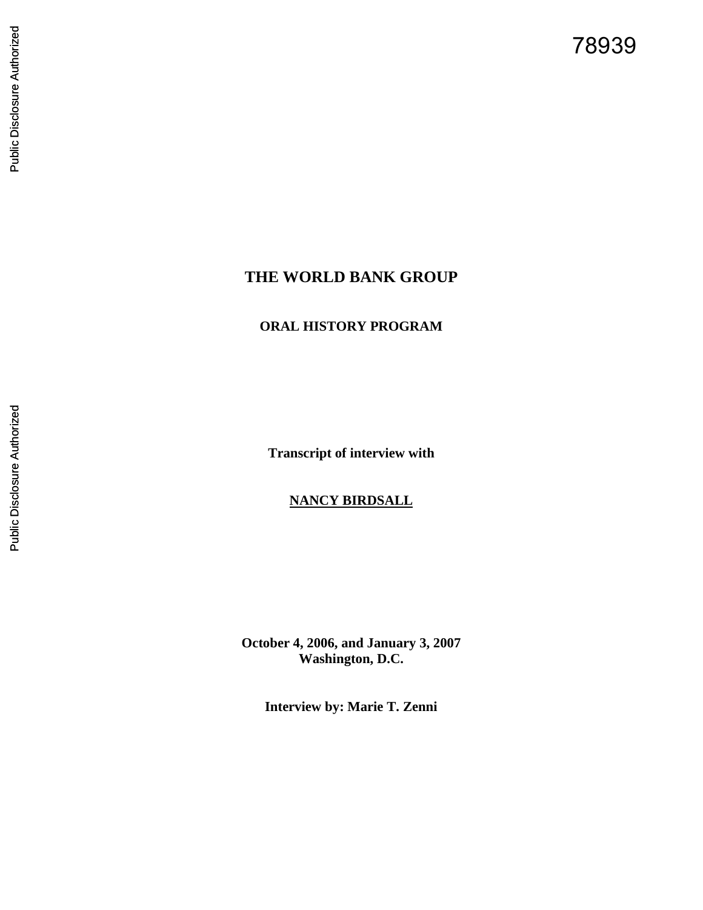78939

# **THE WORLD BANK GROUP**

# **ORAL HISTORY PROGRAM**

**Transcript of interview with**

# **NANCY BIRDSALL**

**October 4, 2006, and January 3, 2007 Washington, D.C.**

**Interview by: Marie T. Zenni**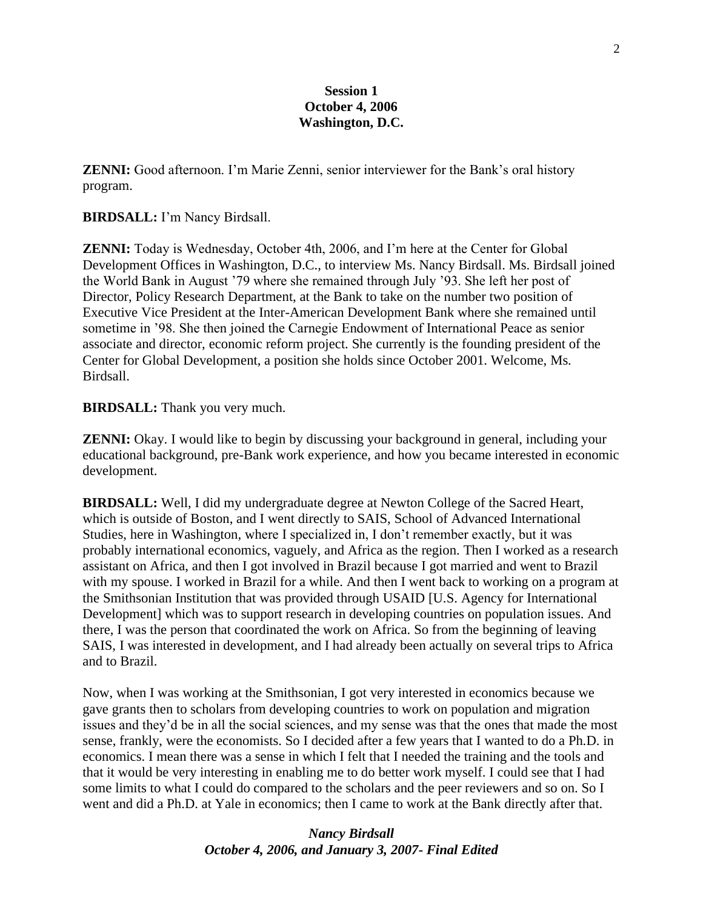### **Session 1 October 4, 2006 Washington, D.C.**

**ZENNI:** Good afternoon. I'm Marie Zenni, senior interviewer for the Bank's oral history program.

#### **BIRDSALL:** I'm Nancy Birdsall.

**ZENNI:** Today is Wednesday, October 4th, 2006, and I'm here at the Center for Global Development Offices in Washington, D.C., to interview Ms. Nancy Birdsall. Ms. Birdsall joined the World Bank in August '79 where she remained through July '93. She left her post of Director, Policy Research Department, at the Bank to take on the number two position of Executive Vice President at the Inter-American Development Bank where she remained until sometime in '98. She then joined the Carnegie Endowment of International Peace as senior associate and director, economic reform project. She currently is the founding president of the Center for Global Development, a position she holds since October 2001. Welcome, Ms. Birdsall.

#### **BIRDSALL:** Thank you very much.

**ZENNI:** Okay. I would like to begin by discussing your background in general, including your educational background, pre-Bank work experience, and how you became interested in economic development.

**BIRDSALL:** Well, I did my undergraduate degree at Newton College of the Sacred Heart, which is outside of Boston, and I went directly to SAIS, School of Advanced International Studies, here in Washington, where I specialized in, I don't remember exactly, but it was probably international economics, vaguely, and Africa as the region. Then I worked as a research assistant on Africa, and then I got involved in Brazil because I got married and went to Brazil with my spouse. I worked in Brazil for a while. And then I went back to working on a program at the Smithsonian Institution that was provided through USAID [U.S. Agency for International Development] which was to support research in developing countries on population issues. And there, I was the person that coordinated the work on Africa. So from the beginning of leaving SAIS, I was interested in development, and I had already been actually on several trips to Africa and to Brazil.

Now, when I was working at the Smithsonian, I got very interested in economics because we gave grants then to scholars from developing countries to work on population and migration issues and they'd be in all the social sciences, and my sense was that the ones that made the most sense, frankly, were the economists. So I decided after a few years that I wanted to do a Ph.D. in economics. I mean there was a sense in which I felt that I needed the training and the tools and that it would be very interesting in enabling me to do better work myself. I could see that I had some limits to what I could do compared to the scholars and the peer reviewers and so on. So I went and did a Ph.D. at Yale in economics; then I came to work at the Bank directly after that.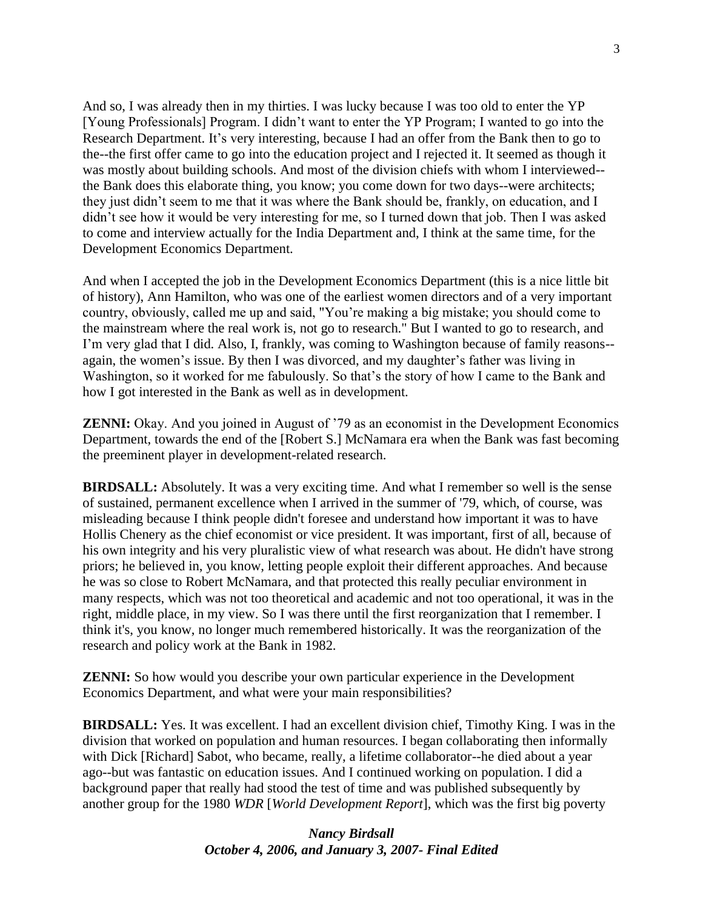And so, I was already then in my thirties. I was lucky because I was too old to enter the YP [Young Professionals] Program. I didn't want to enter the YP Program; I wanted to go into the Research Department. It's very interesting, because I had an offer from the Bank then to go to the--the first offer came to go into the education project and I rejected it. It seemed as though it was mostly about building schools. And most of the division chiefs with whom I interviewed- the Bank does this elaborate thing, you know; you come down for two days--were architects; they just didn't seem to me that it was where the Bank should be, frankly, on education, and I didn't see how it would be very interesting for me, so I turned down that job. Then I was asked to come and interview actually for the India Department and, I think at the same time, for the Development Economics Department.

And when I accepted the job in the Development Economics Department (this is a nice little bit of history), Ann Hamilton, who was one of the earliest women directors and of a very important country, obviously, called me up and said, "You're making a big mistake; you should come to the mainstream where the real work is, not go to research." But I wanted to go to research, and I'm very glad that I did. Also, I, frankly, was coming to Washington because of family reasons- again, the women's issue. By then I was divorced, and my daughter's father was living in Washington, so it worked for me fabulously. So that's the story of how I came to the Bank and how I got interested in the Bank as well as in development.

**ZENNI:** Okay. And you joined in August of '79 as an economist in the Development Economics Department, towards the end of the [Robert S.] McNamara era when the Bank was fast becoming the preeminent player in development-related research.

**BIRDSALL:** Absolutely. It was a very exciting time. And what I remember so well is the sense of sustained, permanent excellence when I arrived in the summer of '79, which, of course, was misleading because I think people didn't foresee and understand how important it was to have Hollis Chenery as the chief economist or vice president. It was important, first of all, because of his own integrity and his very pluralistic view of what research was about. He didn't have strong priors; he believed in, you know, letting people exploit their different approaches. And because he was so close to Robert McNamara, and that protected this really peculiar environment in many respects, which was not too theoretical and academic and not too operational, it was in the right, middle place, in my view. So I was there until the first reorganization that I remember. I think it's, you know, no longer much remembered historically. It was the reorganization of the research and policy work at the Bank in 1982.

**ZENNI:** So how would you describe your own particular experience in the Development Economics Department, and what were your main responsibilities?

**BIRDSALL:** Yes. It was excellent. I had an excellent division chief, Timothy King. I was in the division that worked on population and human resources. I began collaborating then informally with Dick [Richard] Sabot, who became, really, a lifetime collaborator--he died about a year ago--but was fantastic on education issues. And I continued working on population. I did a background paper that really had stood the test of time and was published subsequently by another group for the 1980 *WDR* [*World Development Report*], which was the first big poverty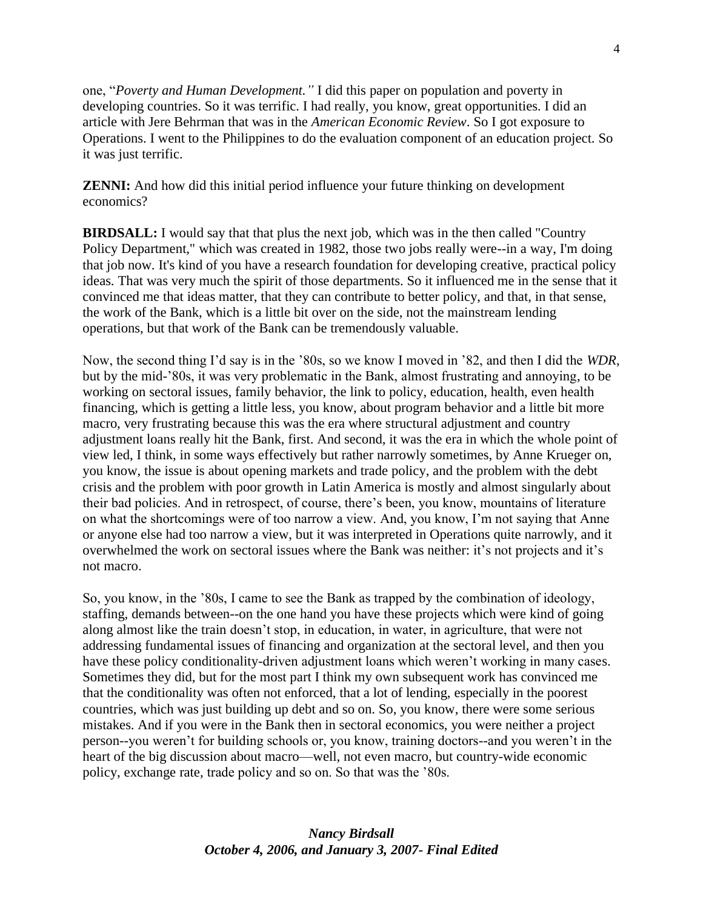one, "Poverty and Human Development." I did this paper on population and poverty in developing countries. So it was terrific. I had really, you know, great opportunities. I did an article with Jere Behrman that was in the *American Economic Review*. So I got exposure to Operations. I went to the Philippines to do the evaluation component of an education project. So it was just terrific.

**ZENNI:** And how did this initial period influence your future thinking on development economics?

**BIRDSALL:** I would say that that plus the next job, which was in the then called "Country Policy Department," which was created in 1982, those two jobs really were--in a way, I'm doing that job now. It's kind of you have a research foundation for developing creative, practical policy ideas. That was very much the spirit of those departments. So it influenced me in the sense that it convinced me that ideas matter, that they can contribute to better policy, and that, in that sense, the work of the Bank, which is a little bit over on the side, not the mainstream lending operations, but that work of the Bank can be tremendously valuable.

Now, the second thing I'd say is in the '80s, so we know I moved in '82, and then I did the *WDR*, but by the mid-'80s, it was very problematic in the Bank, almost frustrating and annoying, to be working on sectoral issues, family behavior, the link to policy, education, health, even health financing, which is getting a little less, you know, about program behavior and a little bit more macro, very frustrating because this was the era where structural adjustment and country adjustment loans really hit the Bank, first. And second, it was the era in which the whole point of view led, I think, in some ways effectively but rather narrowly sometimes, by Anne Krueger on, you know, the issue is about opening markets and trade policy, and the problem with the debt crisis and the problem with poor growth in Latin America is mostly and almost singularly about their bad policies. And in retrospect, of course, there's been, you know, mountains of literature on what the shortcomings were of too narrow a view. And, you know, I'm not saying that Anne or anyone else had too narrow a view, but it was interpreted in Operations quite narrowly, and it overwhelmed the work on sectoral issues where the Bank was neither: it's not projects and it's not macro.

So, you know, in the '80s, I came to see the Bank as trapped by the combination of ideology, staffing, demands between--on the one hand you have these projects which were kind of going along almost like the train doesn't stop, in education, in water, in agriculture, that were not addressing fundamental issues of financing and organization at the sectoral level, and then you have these policy conditionality-driven adjustment loans which weren't working in many cases. Sometimes they did, but for the most part I think my own subsequent work has convinced me that the conditionality was often not enforced, that a lot of lending, especially in the poorest countries, which was just building up debt and so on. So, you know, there were some serious mistakes. And if you were in the Bank then in sectoral economics, you were neither a project person--you weren't for building schools or, you know, training doctors--and you weren't in the heart of the big discussion about macro—well, not even macro, but country-wide economic policy, exchange rate, trade policy and so on. So that was the '80s.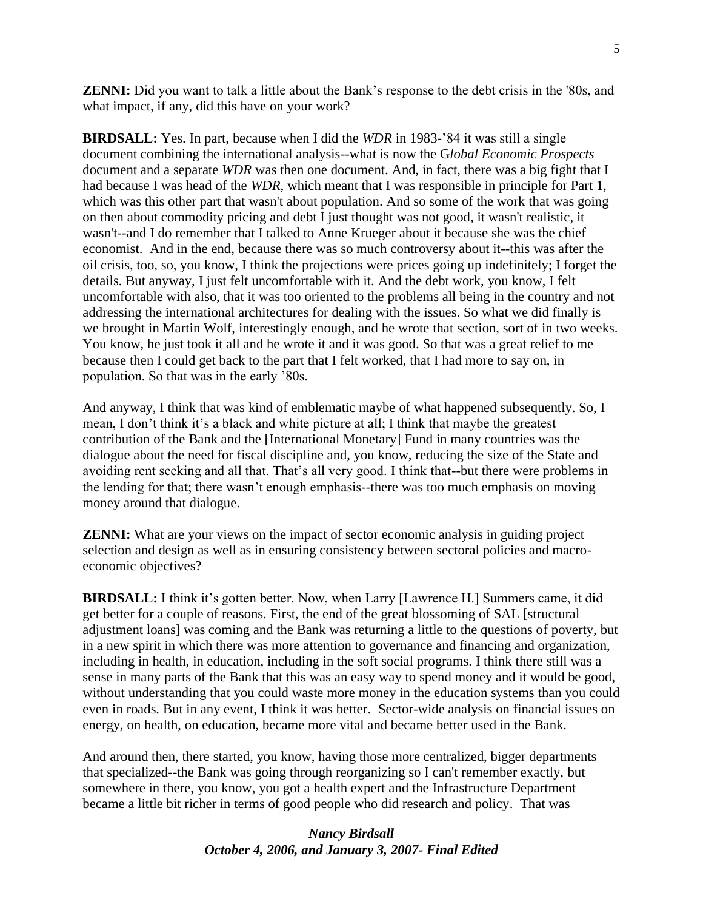**ZENNI:** Did you want to talk a little about the Bank's response to the debt crisis in the '80s, and what impact, if any, did this have on your work?

**BIRDSALL:** Yes. In part, because when I did the *WDR* in 1983-'84 it was still a single document combining the international analysis--what is now the G*lobal Economic Prospects* document and a separate *WDR* was then one document. And, in fact, there was a big fight that I had because I was head of the *WDR*, which meant that I was responsible in principle for Part 1, which was this other part that wasn't about population. And so some of the work that was going on then about commodity pricing and debt I just thought was not good, it wasn't realistic, it wasn't--and I do remember that I talked to Anne Krueger about it because she was the chief economist. And in the end, because there was so much controversy about it--this was after the oil crisis, too, so, you know, I think the projections were prices going up indefinitely; I forget the details. But anyway, I just felt uncomfortable with it. And the debt work, you know, I felt uncomfortable with also, that it was too oriented to the problems all being in the country and not addressing the international architectures for dealing with the issues. So what we did finally is we brought in Martin Wolf, interestingly enough, and he wrote that section, sort of in two weeks. You know, he just took it all and he wrote it and it was good. So that was a great relief to me because then I could get back to the part that I felt worked, that I had more to say on, in population. So that was in the early '80s.

And anyway, I think that was kind of emblematic maybe of what happened subsequently. So, I mean, I don't think it's a black and white picture at all; I think that maybe the greatest contribution of the Bank and the [International Monetary] Fund in many countries was the dialogue about the need for fiscal discipline and, you know, reducing the size of the State and avoiding rent seeking and all that. That's all very good. I think that--but there were problems in the lending for that; there wasn't enough emphasis--there was too much emphasis on moving money around that dialogue.

**ZENNI:** What are your views on the impact of sector economic analysis in guiding project selection and design as well as in ensuring consistency between sectoral policies and macroeconomic objectives?

**BIRDSALL:** I think it's gotten better. Now, when Larry [Lawrence H.] Summers came, it did get better for a couple of reasons. First, the end of the great blossoming of SAL [structural adjustment loans] was coming and the Bank was returning a little to the questions of poverty, but in a new spirit in which there was more attention to governance and financing and organization, including in health, in education, including in the soft social programs. I think there still was a sense in many parts of the Bank that this was an easy way to spend money and it would be good, without understanding that you could waste more money in the education systems than you could even in roads. But in any event, I think it was better. Sector-wide analysis on financial issues on energy, on health, on education, became more vital and became better used in the Bank.

And around then, there started, you know, having those more centralized, bigger departments that specialized--the Bank was going through reorganizing so I can't remember exactly, but somewhere in there, you know, you got a health expert and the Infrastructure Department became a little bit richer in terms of good people who did research and policy. That was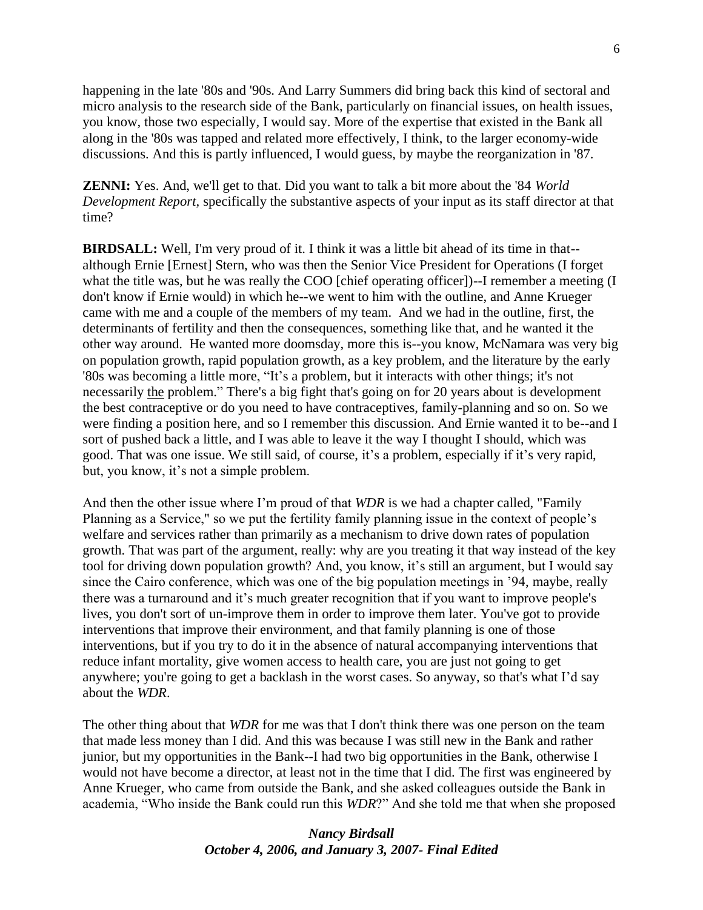happening in the late '80s and '90s. And Larry Summers did bring back this kind of sectoral and micro analysis to the research side of the Bank, particularly on financial issues, on health issues, you know, those two especially, I would say. More of the expertise that existed in the Bank all along in the '80s was tapped and related more effectively, I think, to the larger economy-wide discussions. And this is partly influenced, I would guess, by maybe the reorganization in '87.

**ZENNI:** Yes. And, we'll get to that. Did you want to talk a bit more about the '84 *World Development Report,* specifically the substantive aspects of your input as its staff director at that time?

**BIRDSALL:** Well, I'm very proud of it. I think it was a little bit ahead of its time in that- although Ernie [Ernest] Stern, who was then the Senior Vice President for Operations (I forget what the title was, but he was really the COO [chief operating officer])--I remember a meeting (I don't know if Ernie would) in which he--we went to him with the outline, and Anne Krueger came with me and a couple of the members of my team. And we had in the outline, first, the determinants of fertility and then the consequences, something like that, and he wanted it the other way around. He wanted more doomsday, more this is--you know, McNamara was very big on population growth, rapid population growth, as a key problem, and the literature by the early '80s was becoming a little more, "It's a problem, but it interacts with other things; it's not necessarily the problem." There's a big fight that's going on for 20 years about is development the best contraceptive or do you need to have contraceptives, family-planning and so on. So we were finding a position here, and so I remember this discussion. And Ernie wanted it to be--and I sort of pushed back a little, and I was able to leave it the way I thought I should, which was good. That was one issue. We still said, of course, it's a problem, especially if it's very rapid, but, you know, it's not a simple problem.

And then the other issue where I'm proud of that *WDR* is we had a chapter called, "Family Planning as a Service," so we put the fertility family planning issue in the context of people's welfare and services rather than primarily as a mechanism to drive down rates of population growth. That was part of the argument, really: why are you treating it that way instead of the key tool for driving down population growth? And, you know, it's still an argument, but I would say since the Cairo conference, which was one of the big population meetings in '94, maybe, really there was a turnaround and it's much greater recognition that if you want to improve people's lives, you don't sort of un-improve them in order to improve them later. You've got to provide interventions that improve their environment, and that family planning is one of those interventions, but if you try to do it in the absence of natural accompanying interventions that reduce infant mortality, give women access to health care, you are just not going to get anywhere; you're going to get a backlash in the worst cases. So anyway, so that's what I'd say about the *WDR*.

The other thing about that *WDR* for me was that I don't think there was one person on the team that made less money than I did. And this was because I was still new in the Bank and rather junior, but my opportunities in the Bank--I had two big opportunities in the Bank, otherwise I would not have become a director, at least not in the time that I did. The first was engineered by Anne Krueger, who came from outside the Bank, and she asked colleagues outside the Bank in academia, "Who inside the Bank could run this *WDR*?" And she told me that when she proposed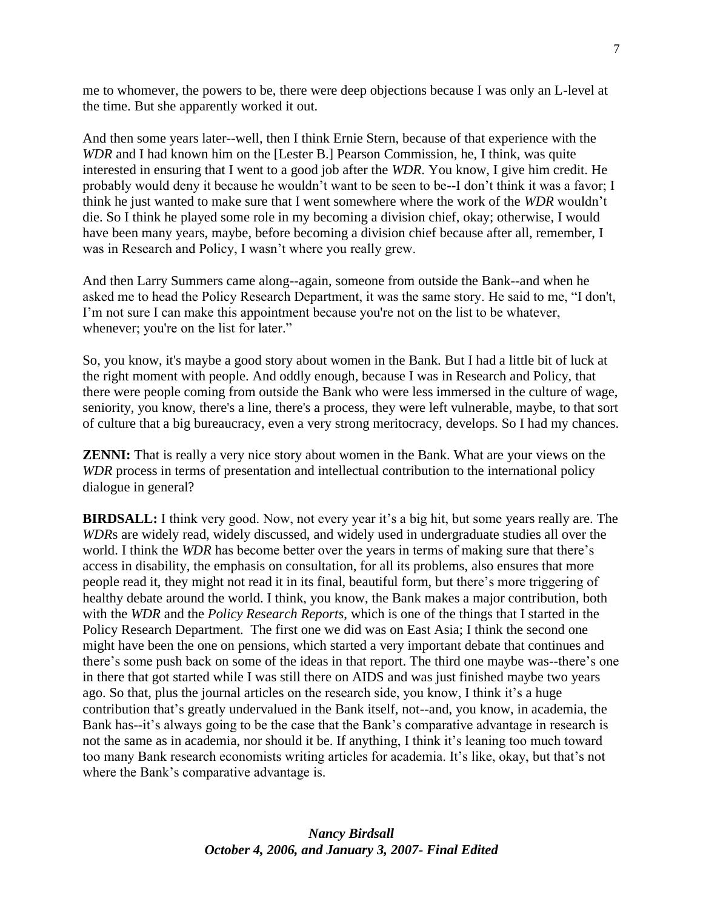me to whomever, the powers to be, there were deep objections because I was only an L-level at the time. But she apparently worked it out.

And then some years later--well, then I think Ernie Stern, because of that experience with the *WDR* and I had known him on the [Lester B.] Pearson Commission, he, I think, was quite interested in ensuring that I went to a good job after the *WDR*. You know, I give him credit. He probably would deny it because he wouldn't want to be seen to be--I don't think it was a favor; I think he just wanted to make sure that I went somewhere where the work of the *WDR* wouldn't die. So I think he played some role in my becoming a division chief, okay; otherwise, I would have been many years, maybe, before becoming a division chief because after all, remember, I was in Research and Policy, I wasn't where you really grew.

And then Larry Summers came along--again, someone from outside the Bank--and when he asked me to head the Policy Research Department, it was the same story. He said to me, "I don't, I'm not sure I can make this appointment because you're not on the list to be whatever, whenever; you're on the list for later."

So, you know, it's maybe a good story about women in the Bank. But I had a little bit of luck at the right moment with people. And oddly enough, because I was in Research and Policy, that there were people coming from outside the Bank who were less immersed in the culture of wage, seniority, you know, there's a line, there's a process, they were left vulnerable, maybe, to that sort of culture that a big bureaucracy, even a very strong meritocracy, develops. So I had my chances.

**ZENNI:** That is really a very nice story about women in the Bank. What are your views on the *WDR* process in terms of presentation and intellectual contribution to the international policy dialogue in general?

**BIRDSALL:** I think very good. Now, not every year it's a big hit, but some years really are. The *WDR*s are widely read, widely discussed, and widely used in undergraduate studies all over the world. I think the *WDR* has become better over the years in terms of making sure that there's access in disability, the emphasis on consultation, for all its problems, also ensures that more people read it, they might not read it in its final, beautiful form, but there's more triggering of healthy debate around the world. I think, you know, the Bank makes a major contribution, both with the *WDR* and the *Policy Research Reports*, which is one of the things that I started in the Policy Research Department. The first one we did was on East Asia; I think the second one might have been the one on pensions, which started a very important debate that continues and there's some push back on some of the ideas in that report. The third one maybe was--there's one in there that got started while I was still there on AIDS and was just finished maybe two years ago. So that, plus the journal articles on the research side, you know, I think it's a huge contribution that's greatly undervalued in the Bank itself, not--and, you know, in academia, the Bank has--it's always going to be the case that the Bank's comparative advantage in research is not the same as in academia, nor should it be. If anything, I think it's leaning too much toward too many Bank research economists writing articles for academia. It's like, okay, but that's not where the Bank's comparative advantage is.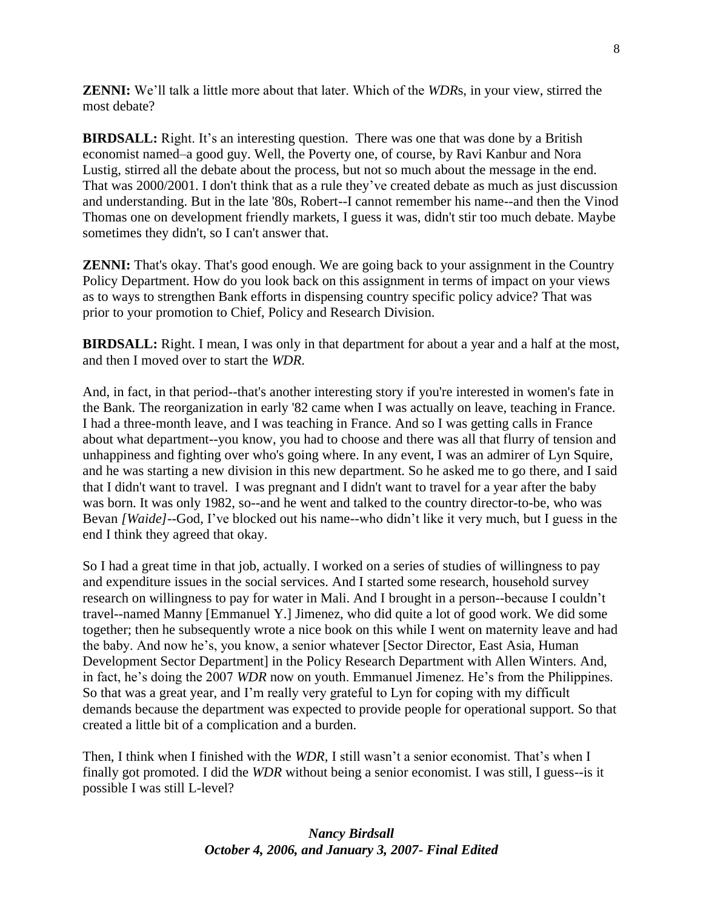**ZENNI:** We'll talk a little more about that later. Which of the *WDR*s, in your view, stirred the most debate?

**BIRDSALL:** Right. It's an interesting question. There was one that was done by a British economist named–a good guy. Well, the Poverty one, of course, by Ravi Kanbur and Nora Lustig, stirred all the debate about the process, but not so much about the message in the end. That was 2000/2001. I don't think that as a rule they've created debate as much as just discussion and understanding. But in the late '80s, Robert--I cannot remember his name--and then the Vinod Thomas one on development friendly markets, I guess it was, didn't stir too much debate. Maybe sometimes they didn't, so I can't answer that.

**ZENNI:** That's okay. That's good enough. We are going back to your assignment in the Country Policy Department. How do you look back on this assignment in terms of impact on your views as to ways to strengthen Bank efforts in dispensing country specific policy advice? That was prior to your promotion to Chief, Policy and Research Division.

**BIRDSALL:** Right. I mean, I was only in that department for about a year and a half at the most, and then I moved over to start the *WDR*.

And, in fact, in that period--that's another interesting story if you're interested in women's fate in the Bank. The reorganization in early '82 came when I was actually on leave, teaching in France. I had a three-month leave, and I was teaching in France. And so I was getting calls in France about what department--you know, you had to choose and there was all that flurry of tension and unhappiness and fighting over who's going where. In any event, I was an admirer of Lyn Squire, and he was starting a new division in this new department. So he asked me to go there, and I said that I didn't want to travel. I was pregnant and I didn't want to travel for a year after the baby was born. It was only 1982, so--and he went and talked to the country director-to-be, who was Bevan *[Waide]*--God, I've blocked out his name--who didn't like it very much, but I guess in the end I think they agreed that okay.

So I had a great time in that job, actually. I worked on a series of studies of willingness to pay and expenditure issues in the social services. And I started some research, household survey research on willingness to pay for water in Mali. And I brought in a person--because I couldn't travel--named Manny [Emmanuel Y.] Jimenez, who did quite a lot of good work. We did some together; then he subsequently wrote a nice book on this while I went on maternity leave and had the baby. And now he's, you know, a senior whatever [Sector Director, East Asia, Human Development Sector Department] in the Policy Research Department with Allen Winters. And, in fact, he's doing the 2007 *WDR* now on youth. Emmanuel Jimenez. He's from the Philippines. So that was a great year, and I'm really very grateful to Lyn for coping with my difficult demands because the department was expected to provide people for operational support. So that created a little bit of a complication and a burden.

Then, I think when I finished with the *WDR*, I still wasn't a senior economist. That's when I finally got promoted. I did the *WDR* without being a senior economist. I was still, I guess--is it possible I was still L-level?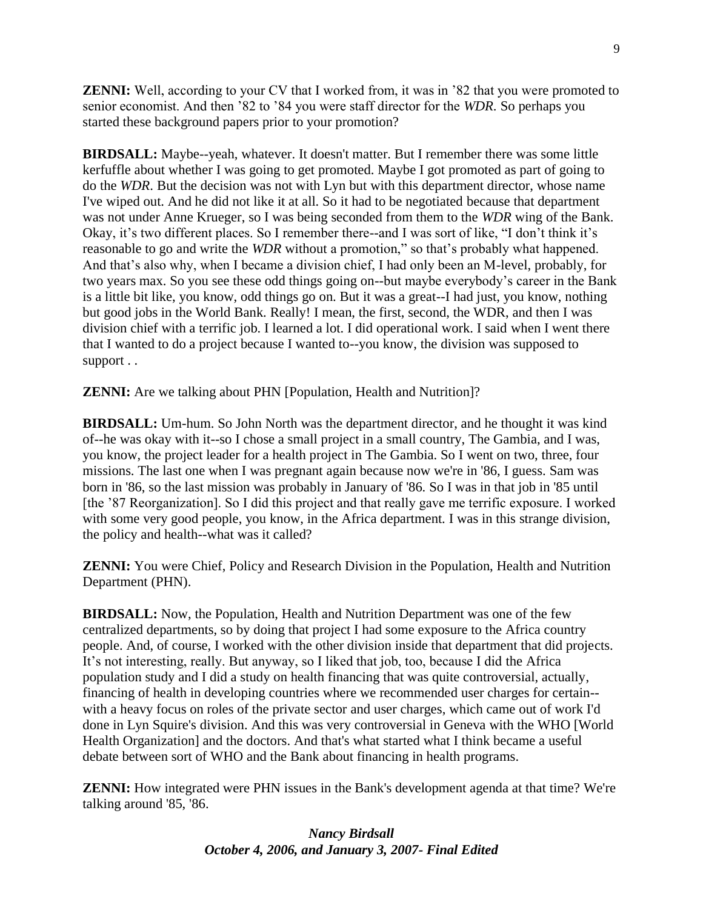**ZENNI:** Well, according to your CV that I worked from, it was in '82 that you were promoted to senior economist. And then '82 to '84 you were staff director for the *WDR*. So perhaps you started these background papers prior to your promotion?

**BIRDSALL:** Maybe--yeah, whatever. It doesn't matter. But I remember there was some little kerfuffle about whether I was going to get promoted. Maybe I got promoted as part of going to do the *WDR*. But the decision was not with Lyn but with this department director, whose name I've wiped out. And he did not like it at all. So it had to be negotiated because that department was not under Anne Krueger, so I was being seconded from them to the *WDR* wing of the Bank. Okay, it's two different places. So I remember there--and I was sort of like, "I don't think it's reasonable to go and write the *WDR* without a promotion," so that's probably what happened. And that's also why, when I became a division chief, I had only been an M-level, probably, for two years max. So you see these odd things going on--but maybe everybody's career in the Bank is a little bit like, you know, odd things go on. But it was a great--I had just, you know, nothing but good jobs in the World Bank. Really! I mean, the first, second, the WDR, and then I was division chief with a terrific job. I learned a lot. I did operational work. I said when I went there that I wanted to do a project because I wanted to--you know, the division was supposed to support . .

**ZENNI:** Are we talking about PHN [Population, Health and Nutrition]?

**BIRDSALL:** Um-hum. So John North was the department director, and he thought it was kind of--he was okay with it--so I chose a small project in a small country, The Gambia, and I was, you know, the project leader for a health project in The Gambia. So I went on two, three, four missions. The last one when I was pregnant again because now we're in '86, I guess. Sam was born in '86, so the last mission was probably in January of '86. So I was in that job in '85 until [the '87 Reorganization]. So I did this project and that really gave me terrific exposure. I worked with some very good people, you know, in the Africa department. I was in this strange division, the policy and health--what was it called?

**ZENNI:** You were Chief, Policy and Research Division in the Population, Health and Nutrition Department (PHN).

**BIRDSALL:** Now, the Population, Health and Nutrition Department was one of the few centralized departments, so by doing that project I had some exposure to the Africa country people. And, of course, I worked with the other division inside that department that did projects. It's not interesting, really. But anyway, so I liked that job, too, because I did the Africa population study and I did a study on health financing that was quite controversial, actually, financing of health in developing countries where we recommended user charges for certain- with a heavy focus on roles of the private sector and user charges, which came out of work I'd done in Lyn Squire's division. And this was very controversial in Geneva with the WHO [World Health Organization] and the doctors. And that's what started what I think became a useful debate between sort of WHO and the Bank about financing in health programs.

**ZENNI:** How integrated were PHN issues in the Bank's development agenda at that time? We're talking around '85, '86.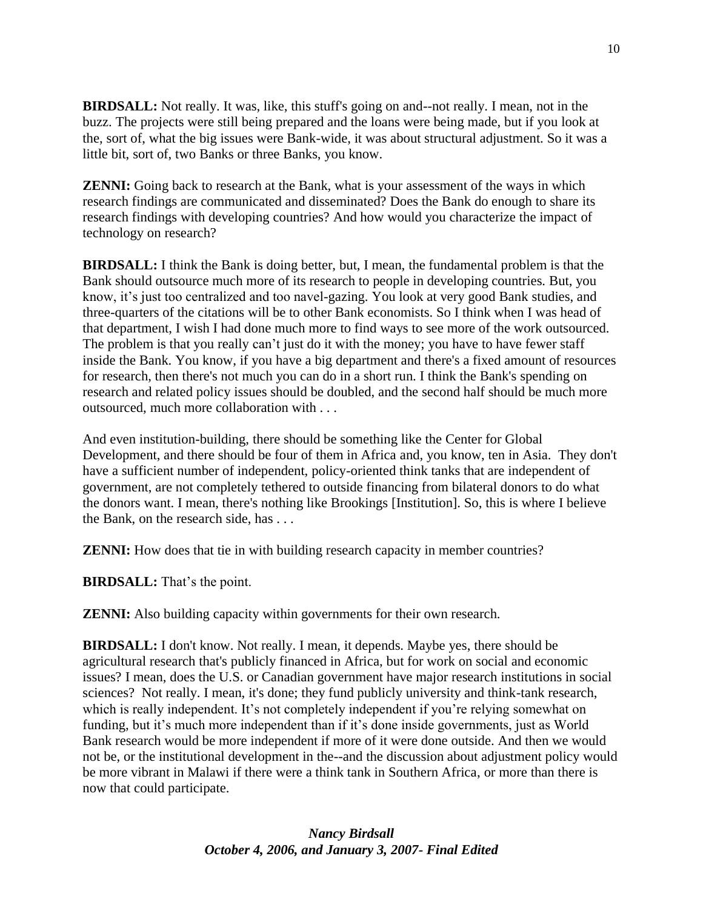**BIRDSALL:** Not really. It was, like, this stuff's going on and--not really. I mean, not in the buzz. The projects were still being prepared and the loans were being made, but if you look at the, sort of, what the big issues were Bank-wide, it was about structural adjustment. So it was a little bit, sort of, two Banks or three Banks, you know.

**ZENNI:** Going back to research at the Bank, what is your assessment of the ways in which research findings are communicated and disseminated? Does the Bank do enough to share its research findings with developing countries? And how would you characterize the impact of technology on research?

**BIRDSALL:** I think the Bank is doing better, but, I mean, the fundamental problem is that the Bank should outsource much more of its research to people in developing countries. But, you know, it's just too centralized and too navel-gazing. You look at very good Bank studies, and three-quarters of the citations will be to other Bank economists. So I think when I was head of that department, I wish I had done much more to find ways to see more of the work outsourced. The problem is that you really can't just do it with the money; you have to have fewer staff inside the Bank. You know, if you have a big department and there's a fixed amount of resources for research, then there's not much you can do in a short run. I think the Bank's spending on research and related policy issues should be doubled, and the second half should be much more outsourced, much more collaboration with . . .

And even institution-building, there should be something like the Center for Global Development, and there should be four of them in Africa and, you know, ten in Asia. They don't have a sufficient number of independent, policy-oriented think tanks that are independent of government, are not completely tethered to outside financing from bilateral donors to do what the donors want. I mean, there's nothing like Brookings [Institution]. So, this is where I believe the Bank, on the research side, has . . .

**ZENNI:** How does that tie in with building research capacity in member countries?

**BIRDSALL:** That's the point.

**ZENNI:** Also building capacity within governments for their own research.

**BIRDSALL:** I don't know. Not really. I mean, it depends. Maybe yes, there should be agricultural research that's publicly financed in Africa, but for work on social and economic issues? I mean, does the U.S. or Canadian government have major research institutions in social sciences? Not really. I mean, it's done; they fund publicly university and think-tank research, which is really independent. It's not completely independent if you're relying somewhat on funding, but it's much more independent than if it's done inside governments, just as World Bank research would be more independent if more of it were done outside. And then we would not be, or the institutional development in the--and the discussion about adjustment policy would be more vibrant in Malawi if there were a think tank in Southern Africa, or more than there is now that could participate.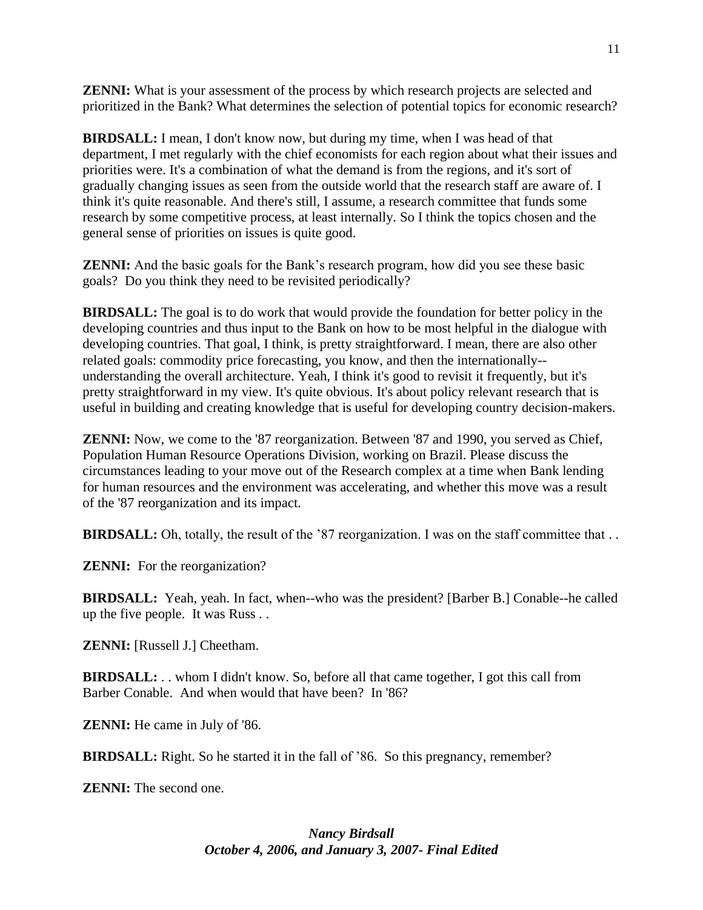**ZENNI:** What is your assessment of the process by which research projects are selected and prioritized in the Bank? What determines the selection of potential topics for economic research?

**BIRDSALL:** I mean, I don't know now, but during my time, when I was head of that department, I met regularly with the chief economists for each region about what their issues and priorities were. It's a combination of what the demand is from the regions, and it's sort of gradually changing issues as seen from the outside world that the research staff are aware of. I think it's quite reasonable. And there's still, I assume, a research committee that funds some research by some competitive process, at least internally. So I think the topics chosen and the general sense of priorities on issues is quite good.

**ZENNI:** And the basic goals for the Bank's research program, how did you see these basic goals? Do you think they need to be revisited periodically?

**BIRDSALL:** The goal is to do work that would provide the foundation for better policy in the developing countries and thus input to the Bank on how to be most helpful in the dialogue with developing countries. That goal, I think, is pretty straightforward. I mean, there are also other related goals: commodity price forecasting, you know, and then the internationally- understanding the overall architecture. Yeah, I think it's good to revisit it frequently, but it's pretty straightforward in my view. It's quite obvious. It's about policy relevant research that is useful in building and creating knowledge that is useful for developing country decision-makers.

**ZENNI:** Now, we come to the '87 reorganization. Between '87 and 1990, you served as Chief, Population Human Resource Operations Division, working on Brazil. Please discuss the circumstances leading to your move out of the Research complex at a time when Bank lending for human resources and the environment was accelerating, and whether this move was a result of the '87 reorganization and its impact.

**BIRDSALL:** Oh, totally, the result of the '87 reorganization. I was on the staff committee that . .

**ZENNI:** For the reorganization?

**BIRDSALL:** Yeah, yeah. In fact, when--who was the president? [Barber B.] Conable--he called up the five people. It was Russ . .

**ZENNI:** [Russell J.] Cheetham.

**BIRDSALL:** . . whom I didn't know. So, before all that came together, I got this call from Barber Conable. And when would that have been? In '86?

**ZENNI:** He came in July of '86.

**BIRDSALL:** Right. So he started it in the fall of '86. So this pregnancy, remember?

**ZENNI:** The second one.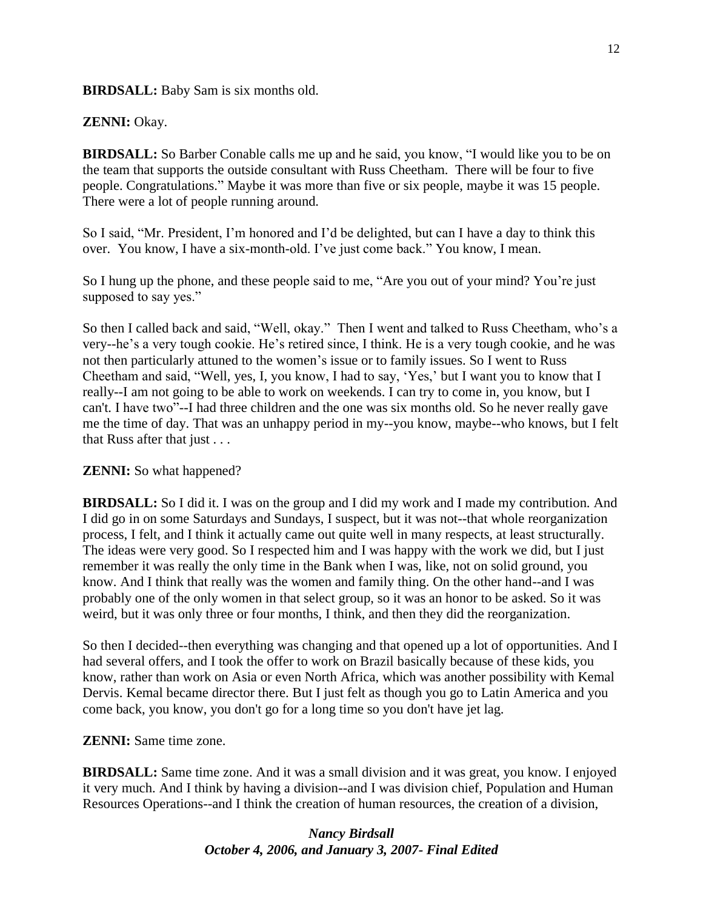**BIRDSALL:** Baby Sam is six months old.

**ZENNI:** Okay.

**BIRDSALL:** So Barber Conable calls me up and he said, you know, "I would like you to be on the team that supports the outside consultant with Russ Cheetham. There will be four to five people. Congratulations.‖ Maybe it was more than five or six people, maybe it was 15 people. There were a lot of people running around.

So I said, "Mr. President, I'm honored and I'd be delighted, but can I have a day to think this over. You know, I have a six-month-old. I've just come back." You know, I mean.

So I hung up the phone, and these people said to me, "Are you out of your mind? You're just supposed to say yes."

So then I called back and said, "Well, okay." Then I went and talked to Russ Cheetham, who's a very--he's a very tough cookie. He's retired since, I think. He is a very tough cookie, and he was not then particularly attuned to the women's issue or to family issues. So I went to Russ Cheetham and said, "Well, yes, I, you know, I had to say, 'Yes,' but I want you to know that I really--I am not going to be able to work on weekends. I can try to come in, you know, but I can't. I have two"--I had three children and the one was six months old. So he never really gave me the time of day. That was an unhappy period in my--you know, maybe--who knows, but I felt that Russ after that just . . .

**ZENNI:** So what happened?

**BIRDSALL:** So I did it. I was on the group and I did my work and I made my contribution. And I did go in on some Saturdays and Sundays, I suspect, but it was not--that whole reorganization process, I felt, and I think it actually came out quite well in many respects, at least structurally. The ideas were very good. So I respected him and I was happy with the work we did, but I just remember it was really the only time in the Bank when I was, like, not on solid ground, you know. And I think that really was the women and family thing. On the other hand--and I was probably one of the only women in that select group, so it was an honor to be asked. So it was weird, but it was only three or four months, I think, and then they did the reorganization.

So then I decided--then everything was changing and that opened up a lot of opportunities. And I had several offers, and I took the offer to work on Brazil basically because of these kids, you know, rather than work on Asia or even North Africa, which was another possibility with Kemal Dervis. Kemal became director there. But I just felt as though you go to Latin America and you come back, you know, you don't go for a long time so you don't have jet lag.

**ZENNI:** Same time zone.

**BIRDSALL:** Same time zone. And it was a small division and it was great, you know. I enjoyed it very much. And I think by having a division--and I was division chief, Population and Human Resources Operations--and I think the creation of human resources, the creation of a division,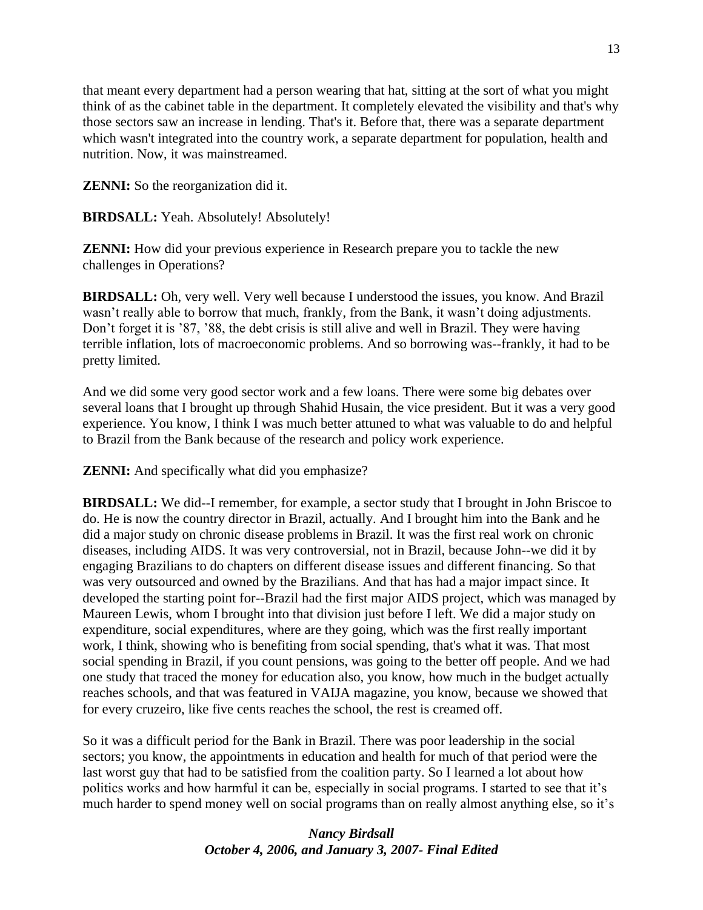that meant every department had a person wearing that hat, sitting at the sort of what you might think of as the cabinet table in the department. It completely elevated the visibility and that's why those sectors saw an increase in lending. That's it. Before that, there was a separate department which wasn't integrated into the country work, a separate department for population, health and nutrition. Now, it was mainstreamed.

**ZENNI:** So the reorganization did it.

**BIRDSALL:** Yeah. Absolutely! Absolutely!

**ZENNI:** How did your previous experience in Research prepare you to tackle the new challenges in Operations?

**BIRDSALL:** Oh, very well. Very well because I understood the issues, you know. And Brazil wasn't really able to borrow that much, frankly, from the Bank, it wasn't doing adjustments. Don't forget it is '87, '88, the debt crisis is still alive and well in Brazil. They were having terrible inflation, lots of macroeconomic problems. And so borrowing was--frankly, it had to be pretty limited.

And we did some very good sector work and a few loans. There were some big debates over several loans that I brought up through Shahid Husain, the vice president. But it was a very good experience. You know, I think I was much better attuned to what was valuable to do and helpful to Brazil from the Bank because of the research and policy work experience.

**ZENNI:** And specifically what did you emphasize?

**BIRDSALL:** We did--I remember, for example, a sector study that I brought in John Briscoe to do. He is now the country director in Brazil, actually. And I brought him into the Bank and he did a major study on chronic disease problems in Brazil. It was the first real work on chronic diseases, including AIDS. It was very controversial, not in Brazil, because John--we did it by engaging Brazilians to do chapters on different disease issues and different financing. So that was very outsourced and owned by the Brazilians. And that has had a major impact since. It developed the starting point for--Brazil had the first major AIDS project, which was managed by Maureen Lewis, whom I brought into that division just before I left. We did a major study on expenditure, social expenditures, where are they going, which was the first really important work, I think, showing who is benefiting from social spending, that's what it was. That most social spending in Brazil, if you count pensions, was going to the better off people. And we had one study that traced the money for education also, you know, how much in the budget actually reaches schools, and that was featured in VAIJA magazine, you know, because we showed that for every cruzeiro, like five cents reaches the school, the rest is creamed off.

So it was a difficult period for the Bank in Brazil. There was poor leadership in the social sectors; you know, the appointments in education and health for much of that period were the last worst guy that had to be satisfied from the coalition party. So I learned a lot about how politics works and how harmful it can be, especially in social programs. I started to see that it's much harder to spend money well on social programs than on really almost anything else, so it's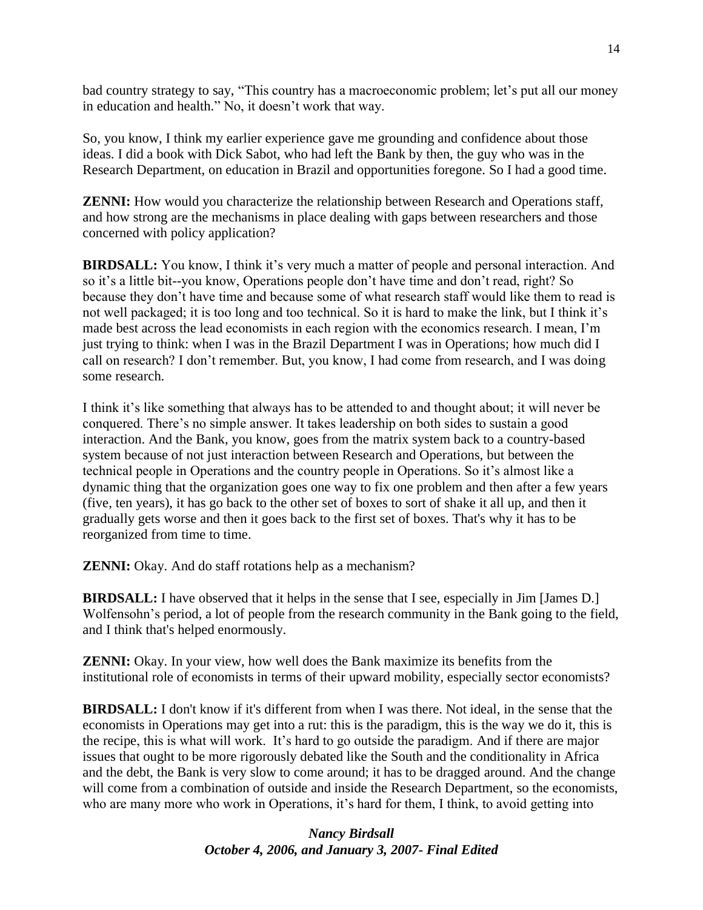bad country strategy to say, "This country has a macroeconomic problem; let's put all our money in education and health." No, it doesn't work that way.

So, you know, I think my earlier experience gave me grounding and confidence about those ideas. I did a book with Dick Sabot, who had left the Bank by then, the guy who was in the Research Department, on education in Brazil and opportunities foregone. So I had a good time.

**ZENNI:** How would you characterize the relationship between Research and Operations staff, and how strong are the mechanisms in place dealing with gaps between researchers and those concerned with policy application?

**BIRDSALL:** You know, I think it's very much a matter of people and personal interaction. And so it's a little bit--you know, Operations people don't have time and don't read, right? So because they don't have time and because some of what research staff would like them to read is not well packaged; it is too long and too technical. So it is hard to make the link, but I think it's made best across the lead economists in each region with the economics research. I mean, I'm just trying to think: when I was in the Brazil Department I was in Operations; how much did I call on research? I don't remember. But, you know, I had come from research, and I was doing some research.

I think it's like something that always has to be attended to and thought about; it will never be conquered. There's no simple answer. It takes leadership on both sides to sustain a good interaction. And the Bank, you know, goes from the matrix system back to a country-based system because of not just interaction between Research and Operations, but between the technical people in Operations and the country people in Operations. So it's almost like a dynamic thing that the organization goes one way to fix one problem and then after a few years (five, ten years), it has go back to the other set of boxes to sort of shake it all up, and then it gradually gets worse and then it goes back to the first set of boxes. That's why it has to be reorganized from time to time.

**ZENNI:** Okay. And do staff rotations help as a mechanism?

**BIRDSALL:** I have observed that it helps in the sense that I see, especially in Jim [James D.] Wolfensohn's period, a lot of people from the research community in the Bank going to the field, and I think that's helped enormously.

**ZENNI:** Okay. In your view, how well does the Bank maximize its benefits from the institutional role of economists in terms of their upward mobility, especially sector economists?

**BIRDSALL:** I don't know if it's different from when I was there. Not ideal, in the sense that the economists in Operations may get into a rut: this is the paradigm, this is the way we do it, this is the recipe, this is what will work. It's hard to go outside the paradigm. And if there are major issues that ought to be more rigorously debated like the South and the conditionality in Africa and the debt, the Bank is very slow to come around; it has to be dragged around. And the change will come from a combination of outside and inside the Research Department, so the economists, who are many more who work in Operations, it's hard for them, I think, to avoid getting into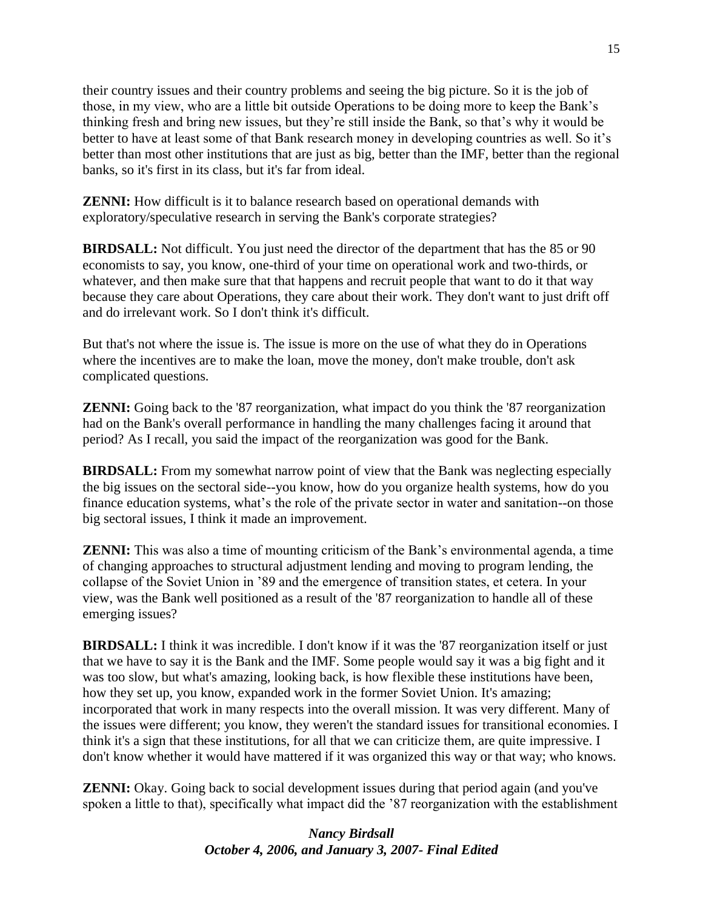their country issues and their country problems and seeing the big picture. So it is the job of those, in my view, who are a little bit outside Operations to be doing more to keep the Bank's thinking fresh and bring new issues, but they're still inside the Bank, so that's why it would be better to have at least some of that Bank research money in developing countries as well. So it's better than most other institutions that are just as big, better than the IMF, better than the regional banks, so it's first in its class, but it's far from ideal.

**ZENNI:** How difficult is it to balance research based on operational demands with exploratory/speculative research in serving the Bank's corporate strategies?

**BIRDSALL:** Not difficult. You just need the director of the department that has the 85 or 90 economists to say, you know, one-third of your time on operational work and two-thirds, or whatever, and then make sure that that happens and recruit people that want to do it that way because they care about Operations, they care about their work. They don't want to just drift off and do irrelevant work. So I don't think it's difficult.

But that's not where the issue is. The issue is more on the use of what they do in Operations where the incentives are to make the loan, move the money, don't make trouble, don't ask complicated questions.

**ZENNI:** Going back to the '87 reorganization, what impact do you think the '87 reorganization had on the Bank's overall performance in handling the many challenges facing it around that period? As I recall, you said the impact of the reorganization was good for the Bank.

**BIRDSALL:** From my somewhat narrow point of view that the Bank was neglecting especially the big issues on the sectoral side--you know, how do you organize health systems, how do you finance education systems, what's the role of the private sector in water and sanitation--on those big sectoral issues, I think it made an improvement.

**ZENNI:** This was also a time of mounting criticism of the Bank's environmental agenda, a time of changing approaches to structural adjustment lending and moving to program lending, the collapse of the Soviet Union in '89 and the emergence of transition states, et cetera. In your view, was the Bank well positioned as a result of the '87 reorganization to handle all of these emerging issues?

**BIRDSALL:** I think it was incredible. I don't know if it was the '87 reorganization itself or just that we have to say it is the Bank and the IMF. Some people would say it was a big fight and it was too slow, but what's amazing, looking back, is how flexible these institutions have been, how they set up, you know, expanded work in the former Soviet Union. It's amazing; incorporated that work in many respects into the overall mission. It was very different. Many of the issues were different; you know, they weren't the standard issues for transitional economies. I think it's a sign that these institutions, for all that we can criticize them, are quite impressive. I don't know whether it would have mattered if it was organized this way or that way; who knows.

**ZENNI:** Okay. Going back to social development issues during that period again (and you've spoken a little to that), specifically what impact did the '87 reorganization with the establishment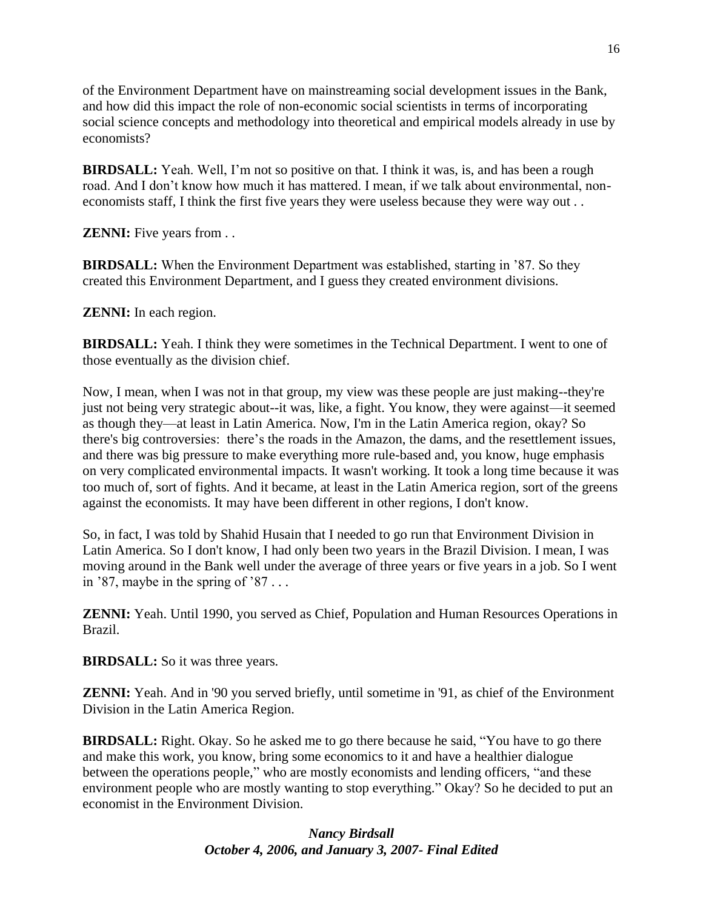of the Environment Department have on mainstreaming social development issues in the Bank, and how did this impact the role of non-economic social scientists in terms of incorporating social science concepts and methodology into theoretical and empirical models already in use by economists?

**BIRDSALL:** Yeah. Well, I'm not so positive on that. I think it was, is, and has been a rough road. And I don't know how much it has mattered. I mean, if we talk about environmental, noneconomists staff, I think the first five years they were useless because they were way out . .

**ZENNI:** Five years from . .

**BIRDSALL:** When the Environment Department was established, starting in '87. So they created this Environment Department, and I guess they created environment divisions.

**ZENNI:** In each region.

**BIRDSALL:** Yeah. I think they were sometimes in the Technical Department. I went to one of those eventually as the division chief.

Now, I mean, when I was not in that group, my view was these people are just making--they're just not being very strategic about--it was, like, a fight. You know, they were against—it seemed as though they—at least in Latin America. Now, I'm in the Latin America region, okay? So there's big controversies: there's the roads in the Amazon, the dams, and the resettlement issues, and there was big pressure to make everything more rule-based and, you know, huge emphasis on very complicated environmental impacts. It wasn't working. It took a long time because it was too much of, sort of fights. And it became, at least in the Latin America region, sort of the greens against the economists. It may have been different in other regions, I don't know.

So, in fact, I was told by Shahid Husain that I needed to go run that Environment Division in Latin America. So I don't know, I had only been two years in the Brazil Division. I mean, I was moving around in the Bank well under the average of three years or five years in a job. So I went in '87, maybe in the spring of  $\sqrt{87}$ ...

**ZENNI:** Yeah. Until 1990, you served as Chief, Population and Human Resources Operations in Brazil.

**BIRDSALL:** So it was three years.

**ZENNI:** Yeah. And in '90 you served briefly, until sometime in '91, as chief of the Environment Division in the Latin America Region.

**BIRDSALL:** Right. Okay. So he asked me to go there because he said, "You have to go there and make this work, you know, bring some economics to it and have a healthier dialogue between the operations people," who are mostly economists and lending officers, "and these environment people who are mostly wanting to stop everything." Okay? So he decided to put an economist in the Environment Division.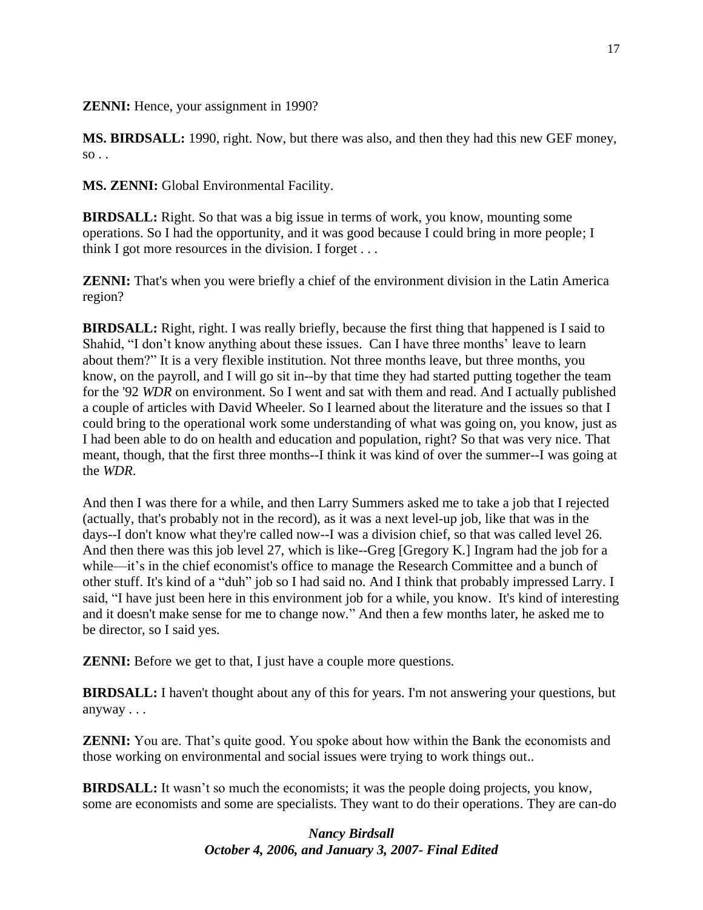**ZENNI:** Hence, your assignment in 1990?

**MS. BIRDSALL:** 1990, right. Now, but there was also, and then they had this new GEF money,  $so.$ .

**MS. ZENNI:** Global Environmental Facility.

**BIRDSALL:** Right. So that was a big issue in terms of work, you know, mounting some operations. So I had the opportunity, and it was good because I could bring in more people; I think I got more resources in the division. I forget . . .

**ZENNI:** That's when you were briefly a chief of the environment division in the Latin America region?

**BIRDSALL:** Right, right. I was really briefly, because the first thing that happened is I said to Shahid, "I don't know anything about these issues. Can I have three months' leave to learn about them?" It is a very flexible institution. Not three months leave, but three months, you know, on the payroll, and I will go sit in--by that time they had started putting together the team for the '92 *WDR* on environment. So I went and sat with them and read. And I actually published a couple of articles with David Wheeler. So I learned about the literature and the issues so that I could bring to the operational work some understanding of what was going on, you know, just as I had been able to do on health and education and population, right? So that was very nice. That meant, though, that the first three months--I think it was kind of over the summer--I was going at the *WDR*.

And then I was there for a while, and then Larry Summers asked me to take a job that I rejected (actually, that's probably not in the record), as it was a next level-up job, like that was in the days--I don't know what they're called now--I was a division chief, so that was called level 26. And then there was this job level 27, which is like--Greg [Gregory K.] Ingram had the job for a while—it's in the chief economist's office to manage the Research Committee and a bunch of other stuff. It's kind of a "duh" job so I had said no. And I think that probably impressed Larry. I said, "I have just been here in this environment job for a while, you know. It's kind of interesting and it doesn't make sense for me to change now." And then a few months later, he asked me to be director, so I said yes.

**ZENNI:** Before we get to that, I just have a couple more questions.

**BIRDSALL:** I haven't thought about any of this for years. I'm not answering your questions, but anyway . . .

**ZENNI:** You are. That's quite good. You spoke about how within the Bank the economists and those working on environmental and social issues were trying to work things out..

**BIRDSALL:** It wasn't so much the economists; it was the people doing projects, you know, some are economists and some are specialists. They want to do their operations. They are can-do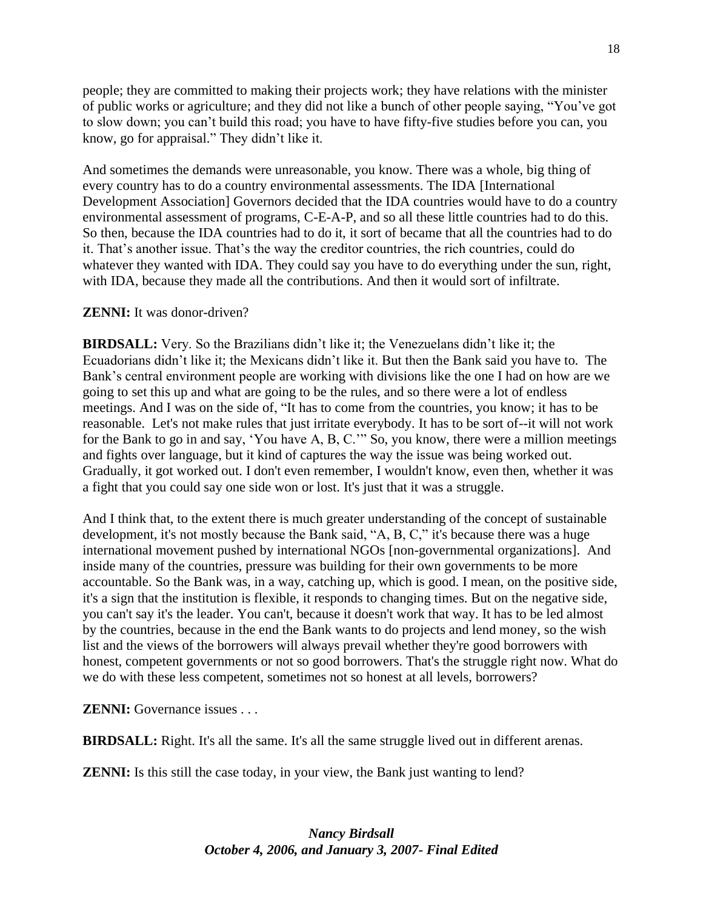people; they are committed to making their projects work; they have relations with the minister of public works or agriculture; and they did not like a bunch of other people saying, "You've got to slow down; you can't build this road; you have to have fifty-five studies before you can, you know, go for appraisal." They didn't like it.

And sometimes the demands were unreasonable, you know. There was a whole, big thing of every country has to do a country environmental assessments. The IDA [International Development Association] Governors decided that the IDA countries would have to do a country environmental assessment of programs, C-E-A-P, and so all these little countries had to do this. So then, because the IDA countries had to do it, it sort of became that all the countries had to do it. That's another issue. That's the way the creditor countries, the rich countries, could do whatever they wanted with IDA. They could say you have to do everything under the sun, right, with IDA, because they made all the contributions. And then it would sort of infiltrate.

### **ZENNI:** It was donor-driven?

**BIRDSALL:** Very. So the Brazilians didn't like it; the Venezuelans didn't like it; the Ecuadorians didn't like it; the Mexicans didn't like it. But then the Bank said you have to. The Bank's central environment people are working with divisions like the one I had on how are we going to set this up and what are going to be the rules, and so there were a lot of endless meetings. And I was on the side of, "It has to come from the countries, you know; it has to be reasonable. Let's not make rules that just irritate everybody. It has to be sort of--it will not work for the Bank to go in and say, 'You have A, B, C.'" So, you know, there were a million meetings and fights over language, but it kind of captures the way the issue was being worked out. Gradually, it got worked out. I don't even remember, I wouldn't know, even then, whether it was a fight that you could say one side won or lost. It's just that it was a struggle.

And I think that, to the extent there is much greater understanding of the concept of sustainable development, it's not mostly because the Bank said, "A, B, C," it's because there was a huge international movement pushed by international NGOs [non-governmental organizations]. And inside many of the countries, pressure was building for their own governments to be more accountable. So the Bank was, in a way, catching up, which is good. I mean, on the positive side, it's a sign that the institution is flexible, it responds to changing times. But on the negative side, you can't say it's the leader. You can't, because it doesn't work that way. It has to be led almost by the countries, because in the end the Bank wants to do projects and lend money, so the wish list and the views of the borrowers will always prevail whether they're good borrowers with honest, competent governments or not so good borrowers. That's the struggle right now. What do we do with these less competent, sometimes not so honest at all levels, borrowers?

**ZENNI:** Governance issues . . .

**BIRDSALL:** Right. It's all the same. It's all the same struggle lived out in different arenas.

**ZENNI:** Is this still the case today, in your view, the Bank just wanting to lend?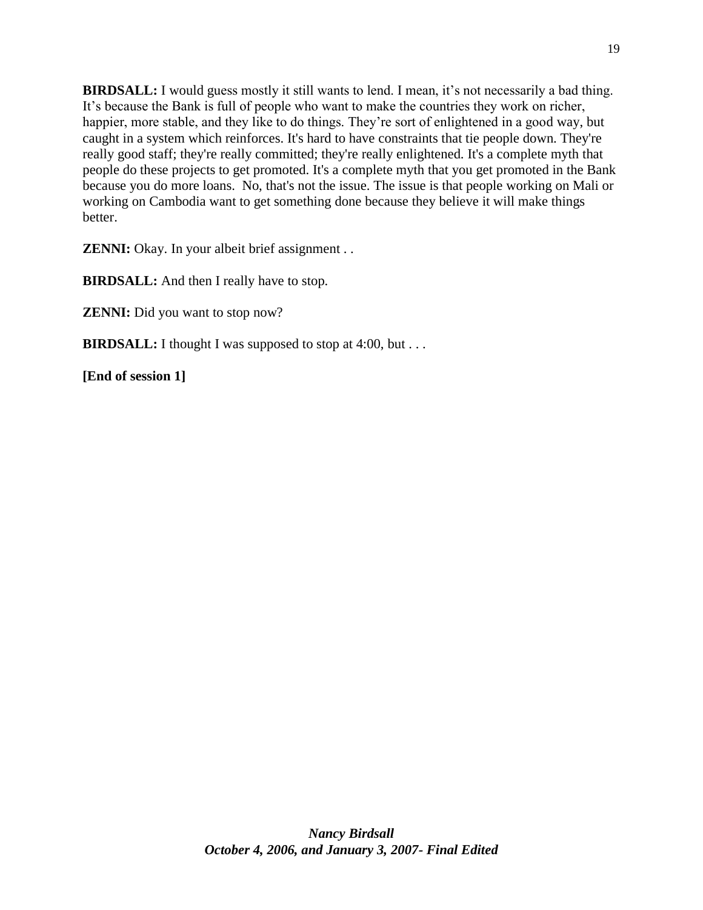**BIRDSALL:** I would guess mostly it still wants to lend. I mean, it's not necessarily a bad thing. It's because the Bank is full of people who want to make the countries they work on richer, happier, more stable, and they like to do things. They're sort of enlightened in a good way, but caught in a system which reinforces. It's hard to have constraints that tie people down. They're really good staff; they're really committed; they're really enlightened. It's a complete myth that people do these projects to get promoted. It's a complete myth that you get promoted in the Bank because you do more loans. No, that's not the issue. The issue is that people working on Mali or working on Cambodia want to get something done because they believe it will make things better.

**ZENNI:** Okay. In your albeit brief assignment . .

**BIRDSALL:** And then I really have to stop.

**ZENNI:** Did you want to stop now?

**BIRDSALL:** I thought I was supposed to stop at 4:00, but . . .

**[End of session 1]**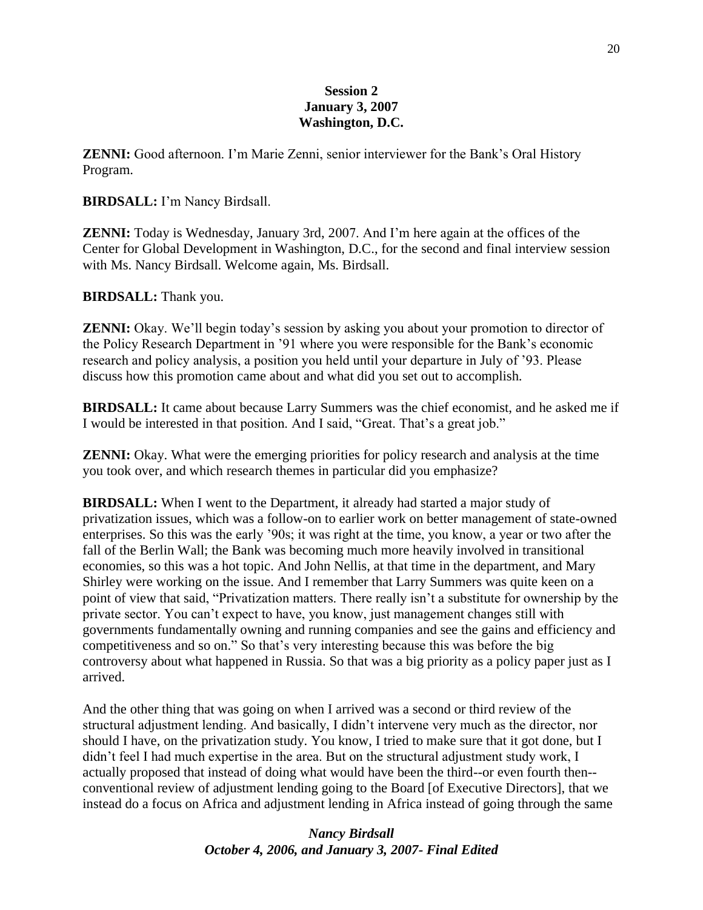## **Session 2 January 3, 2007 Washington, D.C.**

**ZENNI:** Good afternoon. I'm Marie Zenni, senior interviewer for the Bank's Oral History Program.

### **BIRDSALL:** I'm Nancy Birdsall.

**ZENNI:** Today is Wednesday, January 3rd, 2007. And I'm here again at the offices of the Center for Global Development in Washington, D.C., for the second and final interview session with Ms. Nancy Birdsall. Welcome again, Ms. Birdsall.

### **BIRDSALL:** Thank you.

**ZENNI:** Okay. We'll begin today's session by asking you about your promotion to director of the Policy Research Department in '91 where you were responsible for the Bank's economic research and policy analysis, a position you held until your departure in July of '93. Please discuss how this promotion came about and what did you set out to accomplish.

**BIRDSALL:** It came about because Larry Summers was the chief economist, and he asked me if I would be interested in that position. And I said, "Great. That's a great job."

**ZENNI:** Okay. What were the emerging priorities for policy research and analysis at the time you took over, and which research themes in particular did you emphasize?

**BIRDSALL:** When I went to the Department, it already had started a major study of privatization issues, which was a follow-on to earlier work on better management of state-owned enterprises. So this was the early '90s; it was right at the time, you know, a year or two after the fall of the Berlin Wall; the Bank was becoming much more heavily involved in transitional economies, so this was a hot topic. And John Nellis, at that time in the department, and Mary Shirley were working on the issue. And I remember that Larry Summers was quite keen on a point of view that said, "Privatization matters. There really isn't a substitute for ownership by the private sector. You can't expect to have, you know, just management changes still with governments fundamentally owning and running companies and see the gains and efficiency and competitiveness and so on." So that's very interesting because this was before the big controversy about what happened in Russia. So that was a big priority as a policy paper just as I arrived.

And the other thing that was going on when I arrived was a second or third review of the structural adjustment lending. And basically, I didn't intervene very much as the director, nor should I have, on the privatization study. You know, I tried to make sure that it got done, but I didn't feel I had much expertise in the area. But on the structural adjustment study work, I actually proposed that instead of doing what would have been the third--or even fourth then- conventional review of adjustment lending going to the Board [of Executive Directors], that we instead do a focus on Africa and adjustment lending in Africa instead of going through the same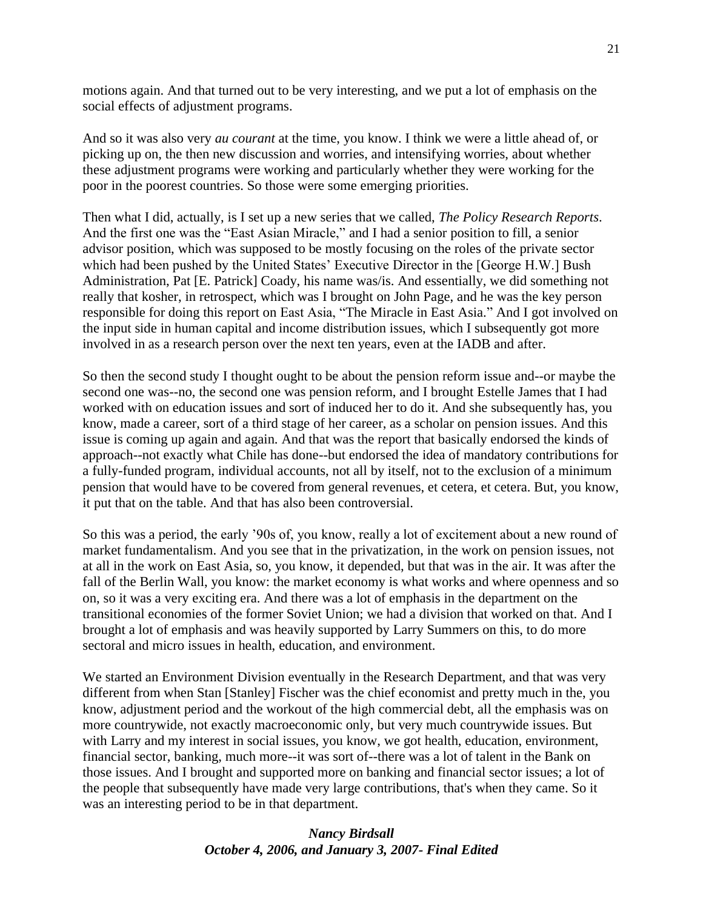motions again. And that turned out to be very interesting, and we put a lot of emphasis on the social effects of adjustment programs.

And so it was also very *au courant* at the time, you know. I think we were a little ahead of, or picking up on, the then new discussion and worries, and intensifying worries, about whether these adjustment programs were working and particularly whether they were working for the poor in the poorest countries. So those were some emerging priorities.

Then what I did, actually, is I set up a new series that we called, *The Policy Research Reports*. And the first one was the "East Asian Miracle," and I had a senior position to fill, a senior advisor position, which was supposed to be mostly focusing on the roles of the private sector which had been pushed by the United States' Executive Director in the [George H.W.] Bush Administration, Pat [E. Patrick] Coady, his name was/is. And essentially, we did something not really that kosher, in retrospect, which was I brought on John Page, and he was the key person responsible for doing this report on East Asia, "The Miracle in East Asia." And I got involved on the input side in human capital and income distribution issues, which I subsequently got more involved in as a research person over the next ten years, even at the IADB and after.

So then the second study I thought ought to be about the pension reform issue and--or maybe the second one was--no, the second one was pension reform, and I brought Estelle James that I had worked with on education issues and sort of induced her to do it. And she subsequently has, you know, made a career, sort of a third stage of her career, as a scholar on pension issues. And this issue is coming up again and again. And that was the report that basically endorsed the kinds of approach--not exactly what Chile has done--but endorsed the idea of mandatory contributions for a fully-funded program, individual accounts, not all by itself, not to the exclusion of a minimum pension that would have to be covered from general revenues, et cetera, et cetera. But, you know, it put that on the table. And that has also been controversial.

So this was a period, the early '90s of, you know, really a lot of excitement about a new round of market fundamentalism. And you see that in the privatization, in the work on pension issues, not at all in the work on East Asia, so, you know, it depended, but that was in the air. It was after the fall of the Berlin Wall, you know: the market economy is what works and where openness and so on, so it was a very exciting era. And there was a lot of emphasis in the department on the transitional economies of the former Soviet Union; we had a division that worked on that. And I brought a lot of emphasis and was heavily supported by Larry Summers on this, to do more sectoral and micro issues in health, education, and environment.

We started an Environment Division eventually in the Research Department, and that was very different from when Stan [Stanley] Fischer was the chief economist and pretty much in the, you know, adjustment period and the workout of the high commercial debt, all the emphasis was on more countrywide, not exactly macroeconomic only, but very much countrywide issues. But with Larry and my interest in social issues, you know, we got health, education, environment, financial sector, banking, much more--it was sort of--there was a lot of talent in the Bank on those issues. And I brought and supported more on banking and financial sector issues; a lot of the people that subsequently have made very large contributions, that's when they came. So it was an interesting period to be in that department.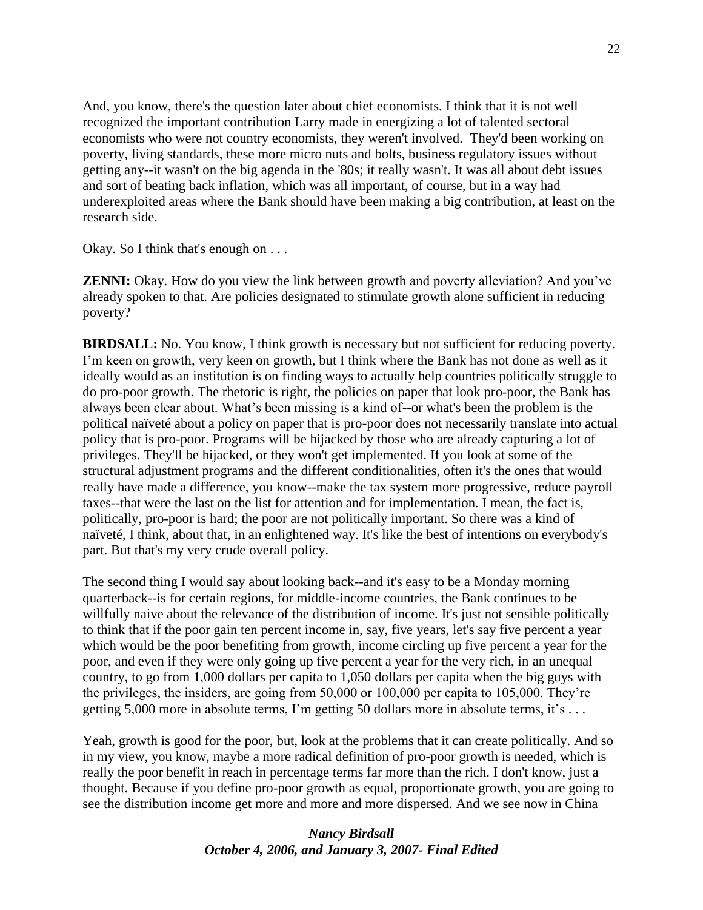And, you know, there's the question later about chief economists. I think that it is not well recognized the important contribution Larry made in energizing a lot of talented sectoral economists who were not country economists, they weren't involved. They'd been working on poverty, living standards, these more micro nuts and bolts, business regulatory issues without getting any--it wasn't on the big agenda in the '80s; it really wasn't. It was all about debt issues and sort of beating back inflation, which was all important, of course, but in a way had underexploited areas where the Bank should have been making a big contribution, at least on the research side.

Okay. So I think that's enough on . . .

**ZENNI:** Okay. How do you view the link between growth and poverty alleviation? And you've already spoken to that. Are policies designated to stimulate growth alone sufficient in reducing poverty?

**BIRDSALL:** No. You know, I think growth is necessary but not sufficient for reducing poverty. I'm keen on growth, very keen on growth, but I think where the Bank has not done as well as it ideally would as an institution is on finding ways to actually help countries politically struggle to do pro-poor growth. The rhetoric is right, the policies on paper that look pro-poor, the Bank has always been clear about. What's been missing is a kind of--or what's been the problem is the political naïveté about a policy on paper that is pro-poor does not necessarily translate into actual policy that is pro-poor. Programs will be hijacked by those who are already capturing a lot of privileges. They'll be hijacked, or they won't get implemented. If you look at some of the structural adjustment programs and the different conditionalities, often it's the ones that would really have made a difference, you know--make the tax system more progressive, reduce payroll taxes--that were the last on the list for attention and for implementation. I mean, the fact is, politically, pro-poor is hard; the poor are not politically important. So there was a kind of naïveté, I think, about that, in an enlightened way. It's like the best of intentions on everybody's part. But that's my very crude overall policy.

The second thing I would say about looking back--and it's easy to be a Monday morning quarterback--is for certain regions, for middle-income countries, the Bank continues to be willfully naive about the relevance of the distribution of income. It's just not sensible politically to think that if the poor gain ten percent income in, say, five years, let's say five percent a year which would be the poor benefiting from growth, income circling up five percent a year for the poor, and even if they were only going up five percent a year for the very rich, in an unequal country, to go from 1,000 dollars per capita to 1,050 dollars per capita when the big guys with the privileges, the insiders, are going from 50,000 or 100,000 per capita to 105,000. They're getting 5,000 more in absolute terms, I'm getting 50 dollars more in absolute terms, it's . . .

Yeah, growth is good for the poor, but, look at the problems that it can create politically. And so in my view, you know, maybe a more radical definition of pro-poor growth is needed, which is really the poor benefit in reach in percentage terms far more than the rich. I don't know, just a thought. Because if you define pro-poor growth as equal, proportionate growth, you are going to see the distribution income get more and more and more dispersed. And we see now in China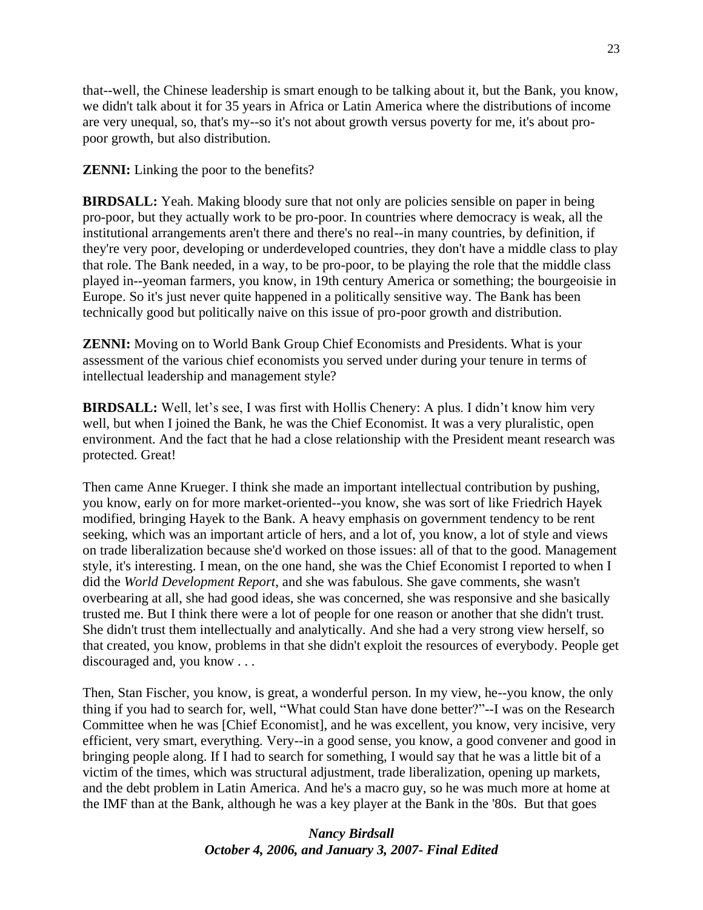that--well, the Chinese leadership is smart enough to be talking about it, but the Bank, you know, we didn't talk about it for 35 years in Africa or Latin America where the distributions of income are very unequal, so, that's my--so it's not about growth versus poverty for me, it's about propoor growth, but also distribution.

**ZENNI:** Linking the poor to the benefits?

**BIRDSALL:** Yeah. Making bloody sure that not only are policies sensible on paper in being pro-poor, but they actually work to be pro-poor. In countries where democracy is weak, all the institutional arrangements aren't there and there's no real--in many countries, by definition, if they're very poor, developing or underdeveloped countries, they don't have a middle class to play that role. The Bank needed, in a way, to be pro-poor, to be playing the role that the middle class played in--yeoman farmers, you know, in 19th century America or something; the bourgeoisie in Europe. So it's just never quite happened in a politically sensitive way. The Bank has been technically good but politically naive on this issue of pro-poor growth and distribution.

**ZENNI:** Moving on to World Bank Group Chief Economists and Presidents. What is your assessment of the various chief economists you served under during your tenure in terms of intellectual leadership and management style?

**BIRDSALL:** Well, let's see, I was first with Hollis Chenery: A plus. I didn't know him very well, but when I joined the Bank, he was the Chief Economist. It was a very pluralistic, open environment. And the fact that he had a close relationship with the President meant research was protected. Great!

Then came Anne Krueger. I think she made an important intellectual contribution by pushing, you know, early on for more market-oriented--you know, she was sort of like Friedrich Hayek modified, bringing Hayek to the Bank. A heavy emphasis on government tendency to be rent seeking, which was an important article of hers, and a lot of, you know, a lot of style and views on trade liberalization because she'd worked on those issues: all of that to the good. Management style, it's interesting. I mean, on the one hand, she was the Chief Economist I reported to when I did the *World Development Report*, and she was fabulous. She gave comments, she wasn't overbearing at all, she had good ideas, she was concerned, she was responsive and she basically trusted me. But I think there were a lot of people for one reason or another that she didn't trust. She didn't trust them intellectually and analytically. And she had a very strong view herself, so that created, you know, problems in that she didn't exploit the resources of everybody. People get discouraged and, you know . . .

Then, Stan Fischer, you know, is great, a wonderful person. In my view, he--you know, the only thing if you had to search for, well, "What could Stan have done better?"--I was on the Research Committee when he was [Chief Economist], and he was excellent, you know, very incisive, very efficient, very smart, everything. Very--in a good sense, you know, a good convener and good in bringing people along. If I had to search for something, I would say that he was a little bit of a victim of the times, which was structural adjustment, trade liberalization, opening up markets, and the debt problem in Latin America. And he's a macro guy, so he was much more at home at the IMF than at the Bank, although he was a key player at the Bank in the '80s. But that goes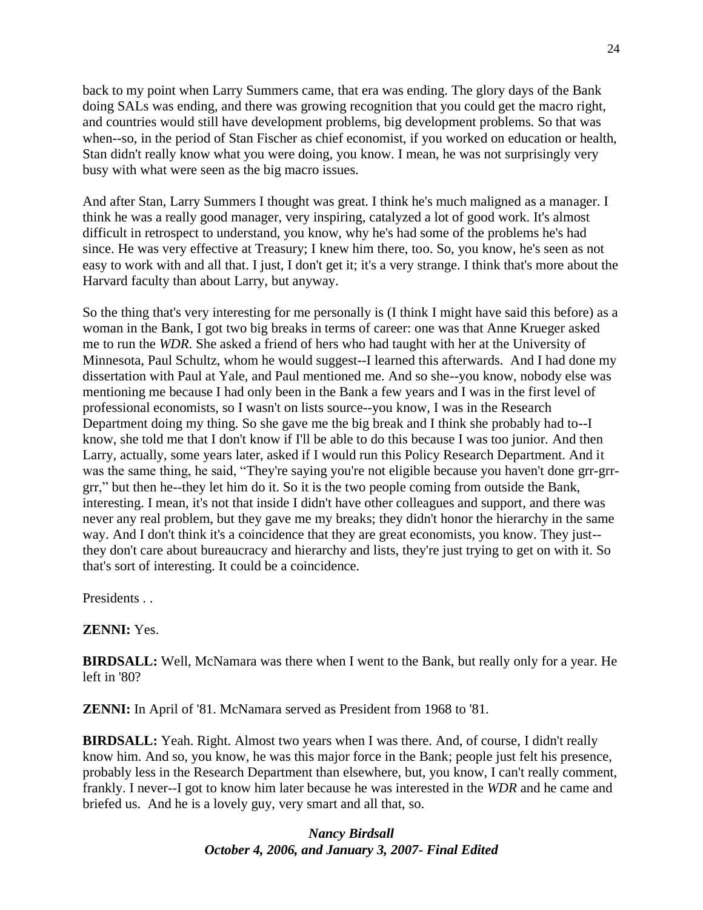back to my point when Larry Summers came, that era was ending. The glory days of the Bank doing SALs was ending, and there was growing recognition that you could get the macro right, and countries would still have development problems, big development problems. So that was when--so, in the period of Stan Fischer as chief economist, if you worked on education or health, Stan didn't really know what you were doing, you know. I mean, he was not surprisingly very busy with what were seen as the big macro issues.

And after Stan, Larry Summers I thought was great. I think he's much maligned as a manager. I think he was a really good manager, very inspiring, catalyzed a lot of good work. It's almost difficult in retrospect to understand, you know, why he's had some of the problems he's had since. He was very effective at Treasury; I knew him there, too. So, you know, he's seen as not easy to work with and all that. I just, I don't get it; it's a very strange. I think that's more about the Harvard faculty than about Larry, but anyway.

So the thing that's very interesting for me personally is (I think I might have said this before) as a woman in the Bank, I got two big breaks in terms of career: one was that Anne Krueger asked me to run the *WDR*. She asked a friend of hers who had taught with her at the University of Minnesota, Paul Schultz, whom he would suggest--I learned this afterwards. And I had done my dissertation with Paul at Yale, and Paul mentioned me. And so she--you know, nobody else was mentioning me because I had only been in the Bank a few years and I was in the first level of professional economists, so I wasn't on lists source--you know, I was in the Research Department doing my thing. So she gave me the big break and I think she probably had to--I know, she told me that I don't know if I'll be able to do this because I was too junior. And then Larry, actually, some years later, asked if I would run this Policy Research Department. And it was the same thing, he said, "They're saying you're not eligible because you haven't done grr-grrgrr,‖ but then he--they let him do it. So it is the two people coming from outside the Bank, interesting. I mean, it's not that inside I didn't have other colleagues and support, and there was never any real problem, but they gave me my breaks; they didn't honor the hierarchy in the same way. And I don't think it's a coincidence that they are great economists, you know. They just- they don't care about bureaucracy and hierarchy and lists, they're just trying to get on with it. So that's sort of interesting. It could be a coincidence.

Presidents . .

## **ZENNI:** Yes.

**BIRDSALL:** Well, McNamara was there when I went to the Bank, but really only for a year. He left in '80?

**ZENNI:** In April of '81. McNamara served as President from 1968 to '81.

**BIRDSALL:** Yeah. Right. Almost two years when I was there. And, of course, I didn't really know him. And so, you know, he was this major force in the Bank; people just felt his presence, probably less in the Research Department than elsewhere, but, you know, I can't really comment, frankly. I never--I got to know him later because he was interested in the *WDR* and he came and briefed us. And he is a lovely guy, very smart and all that, so.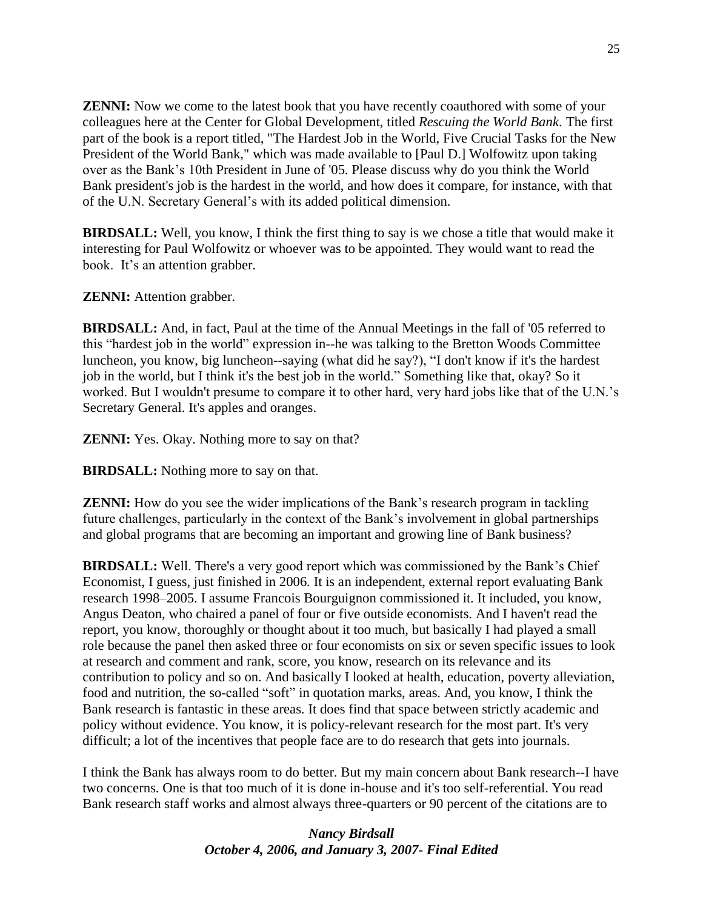**ZENNI:** Now we come to the latest book that you have recently coauthored with some of your colleagues here at the Center for Global Development, titled *Rescuing the World Bank*. The first part of the book is a report titled, "The Hardest Job in the World, Five Crucial Tasks for the New President of the World Bank," which was made available to [Paul D.] Wolfowitz upon taking over as the Bank's 10th President in June of '05. Please discuss why do you think the World Bank president's job is the hardest in the world, and how does it compare, for instance, with that of the U.N. Secretary General's with its added political dimension.

**BIRDSALL:** Well, you know, I think the first thing to say is we chose a title that would make it interesting for Paul Wolfowitz or whoever was to be appointed. They would want to read the book. It's an attention grabber.

**ZENNI:** Attention grabber.

**BIRDSALL:** And, in fact, Paul at the time of the Annual Meetings in the fall of '05 referred to this "hardest job in the world" expression in--he was talking to the Bretton Woods Committee luncheon, you know, big luncheon--saying (what did he say?), "I don't know if it's the hardest job in the world, but I think it's the best job in the world." Something like that, okay? So it worked. But I wouldn't presume to compare it to other hard, very hard jobs like that of the U.N.'s Secretary General. It's apples and oranges.

**ZENNI:** Yes. Okay. Nothing more to say on that?

**BIRDSALL:** Nothing more to say on that.

**ZENNI:** How do you see the wider implications of the Bank's research program in tackling future challenges, particularly in the context of the Bank's involvement in global partnerships and global programs that are becoming an important and growing line of Bank business?

**BIRDSALL:** Well. There's a very good report which was commissioned by the Bank's Chief Economist, I guess, just finished in 2006. It is an independent, external report evaluating Bank research 1998–2005. I assume Francois Bourguignon commissioned it. It included, you know, Angus Deaton, who chaired a panel of four or five outside economists. And I haven't read the report, you know, thoroughly or thought about it too much, but basically I had played a small role because the panel then asked three or four economists on six or seven specific issues to look at research and comment and rank, score, you know, research on its relevance and its contribution to policy and so on. And basically I looked at health, education, poverty alleviation, food and nutrition, the so-called "soft" in quotation marks, areas. And, you know, I think the Bank research is fantastic in these areas. It does find that space between strictly academic and policy without evidence. You know, it is policy-relevant research for the most part. It's very difficult; a lot of the incentives that people face are to do research that gets into journals.

I think the Bank has always room to do better. But my main concern about Bank research--I have two concerns. One is that too much of it is done in-house and it's too self-referential. You read Bank research staff works and almost always three-quarters or 90 percent of the citations are to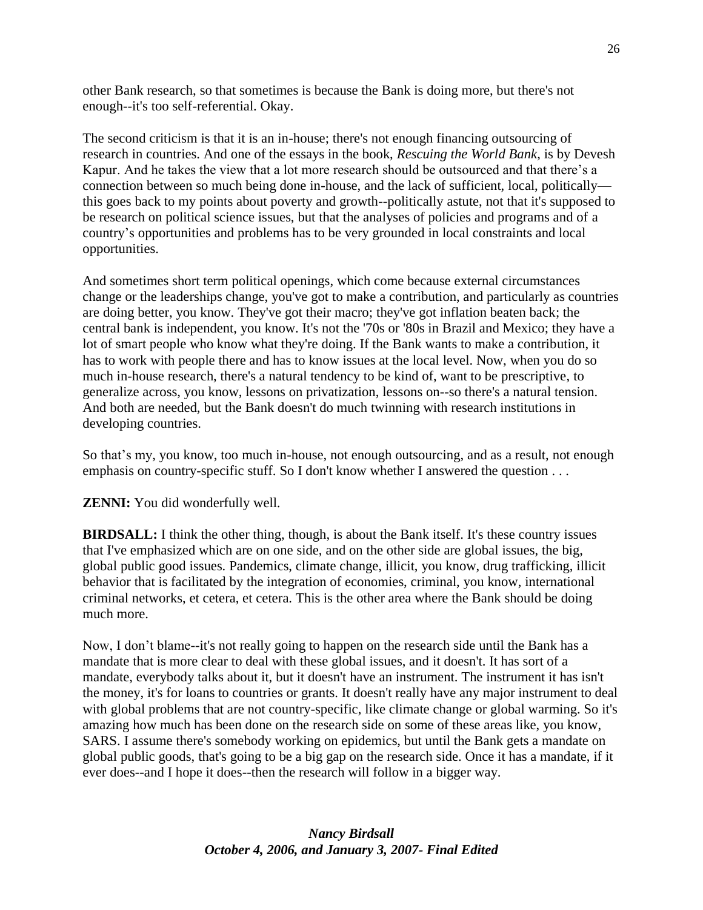other Bank research, so that sometimes is because the Bank is doing more, but there's not enough--it's too self-referential. Okay.

The second criticism is that it is an in-house; there's not enough financing outsourcing of research in countries. And one of the essays in the book, *Rescuing the World Bank*, is by Devesh Kapur. And he takes the view that a lot more research should be outsourced and that there's a connection between so much being done in-house, and the lack of sufficient, local, politically this goes back to my points about poverty and growth--politically astute, not that it's supposed to be research on political science issues, but that the analyses of policies and programs and of a country's opportunities and problems has to be very grounded in local constraints and local opportunities.

And sometimes short term political openings, which come because external circumstances change or the leaderships change, you've got to make a contribution, and particularly as countries are doing better, you know. They've got their macro; they've got inflation beaten back; the central bank is independent, you know. It's not the '70s or '80s in Brazil and Mexico; they have a lot of smart people who know what they're doing. If the Bank wants to make a contribution, it has to work with people there and has to know issues at the local level. Now, when you do so much in-house research, there's a natural tendency to be kind of, want to be prescriptive, to generalize across, you know, lessons on privatization, lessons on--so there's a natural tension. And both are needed, but the Bank doesn't do much twinning with research institutions in developing countries.

So that's my, you know, too much in-house, not enough outsourcing, and as a result, not enough emphasis on country-specific stuff. So I don't know whether I answered the question . . .

**ZENNI:** You did wonderfully well.

**BIRDSALL:** I think the other thing, though, is about the Bank itself. It's these country issues that I've emphasized which are on one side, and on the other side are global issues, the big, global public good issues. Pandemics, climate change, illicit, you know, drug trafficking, illicit behavior that is facilitated by the integration of economies, criminal, you know, international criminal networks, et cetera, et cetera. This is the other area where the Bank should be doing much more.

Now, I don't blame--it's not really going to happen on the research side until the Bank has a mandate that is more clear to deal with these global issues, and it doesn't. It has sort of a mandate, everybody talks about it, but it doesn't have an instrument. The instrument it has isn't the money, it's for loans to countries or grants. It doesn't really have any major instrument to deal with global problems that are not country-specific, like climate change or global warming. So it's amazing how much has been done on the research side on some of these areas like, you know, SARS. I assume there's somebody working on epidemics, but until the Bank gets a mandate on global public goods, that's going to be a big gap on the research side. Once it has a mandate, if it ever does--and I hope it does--then the research will follow in a bigger way.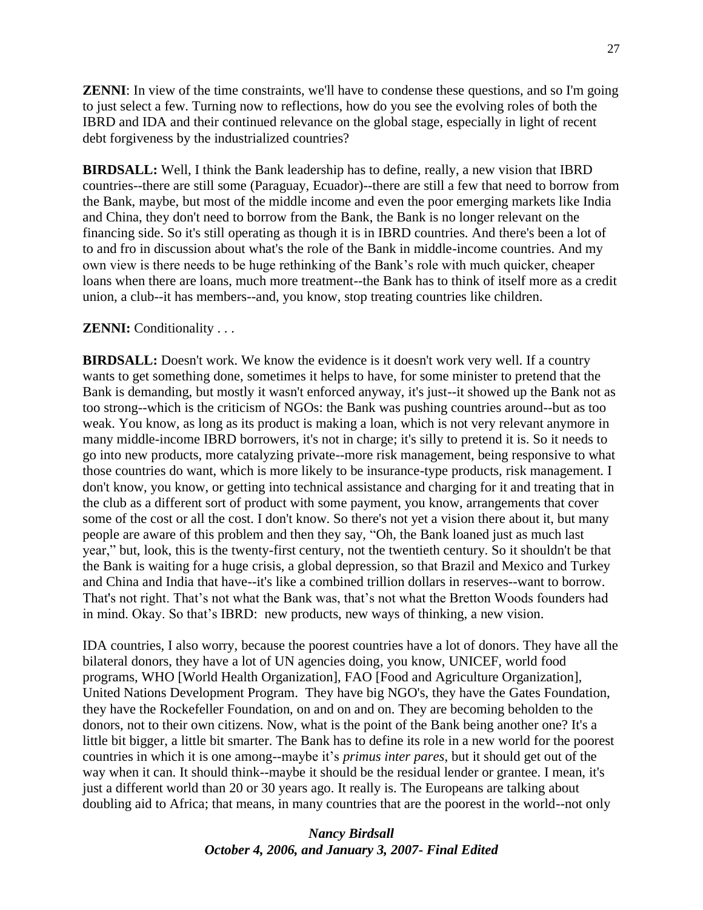**ZENNI:** In view of the time constraints, we'll have to condense these questions, and so I'm going to just select a few. Turning now to reflections, how do you see the evolving roles of both the IBRD and IDA and their continued relevance on the global stage, especially in light of recent debt forgiveness by the industrialized countries?

**BIRDSALL:** Well, I think the Bank leadership has to define, really, a new vision that IBRD countries--there are still some (Paraguay, Ecuador)--there are still a few that need to borrow from the Bank, maybe, but most of the middle income and even the poor emerging markets like India and China, they don't need to borrow from the Bank, the Bank is no longer relevant on the financing side. So it's still operating as though it is in IBRD countries. And there's been a lot of to and fro in discussion about what's the role of the Bank in middle-income countries. And my own view is there needs to be huge rethinking of the Bank's role with much quicker, cheaper loans when there are loans, much more treatment--the Bank has to think of itself more as a credit union, a club--it has members--and, you know, stop treating countries like children.

### **ZENNI:** Conditionality . . .

**BIRDSALL:** Doesn't work. We know the evidence is it doesn't work very well. If a country wants to get something done, sometimes it helps to have, for some minister to pretend that the Bank is demanding, but mostly it wasn't enforced anyway, it's just--it showed up the Bank not as too strong--which is the criticism of NGOs: the Bank was pushing countries around--but as too weak. You know, as long as its product is making a loan, which is not very relevant anymore in many middle-income IBRD borrowers, it's not in charge; it's silly to pretend it is. So it needs to go into new products, more catalyzing private--more risk management, being responsive to what those countries do want, which is more likely to be insurance-type products, risk management. I don't know, you know, or getting into technical assistance and charging for it and treating that in the club as a different sort of product with some payment, you know, arrangements that cover some of the cost or all the cost. I don't know. So there's not yet a vision there about it, but many people are aware of this problem and then they say, "Oh, the Bank loaned just as much last year," but, look, this is the twenty-first century, not the twentieth century. So it shouldn't be that the Bank is waiting for a huge crisis, a global depression, so that Brazil and Mexico and Turkey and China and India that have--it's like a combined trillion dollars in reserves--want to borrow. That's not right. That's not what the Bank was, that's not what the Bretton Woods founders had in mind. Okay. So that's IBRD: new products, new ways of thinking, a new vision.

IDA countries, I also worry, because the poorest countries have a lot of donors. They have all the bilateral donors, they have a lot of UN agencies doing, you know, UNICEF, world food programs, WHO [World Health Organization], FAO [Food and Agriculture Organization], United Nations Development Program. They have big NGO's, they have the Gates Foundation, they have the Rockefeller Foundation, on and on and on. They are becoming beholden to the donors, not to their own citizens. Now, what is the point of the Bank being another one? It's a little bit bigger, a little bit smarter. The Bank has to define its role in a new world for the poorest countries in which it is one among--maybe it's *primus inter pares*, but it should get out of the way when it can. It should think--maybe it should be the residual lender or grantee. I mean, it's just a different world than 20 or 30 years ago. It really is. The Europeans are talking about doubling aid to Africa; that means, in many countries that are the poorest in the world--not only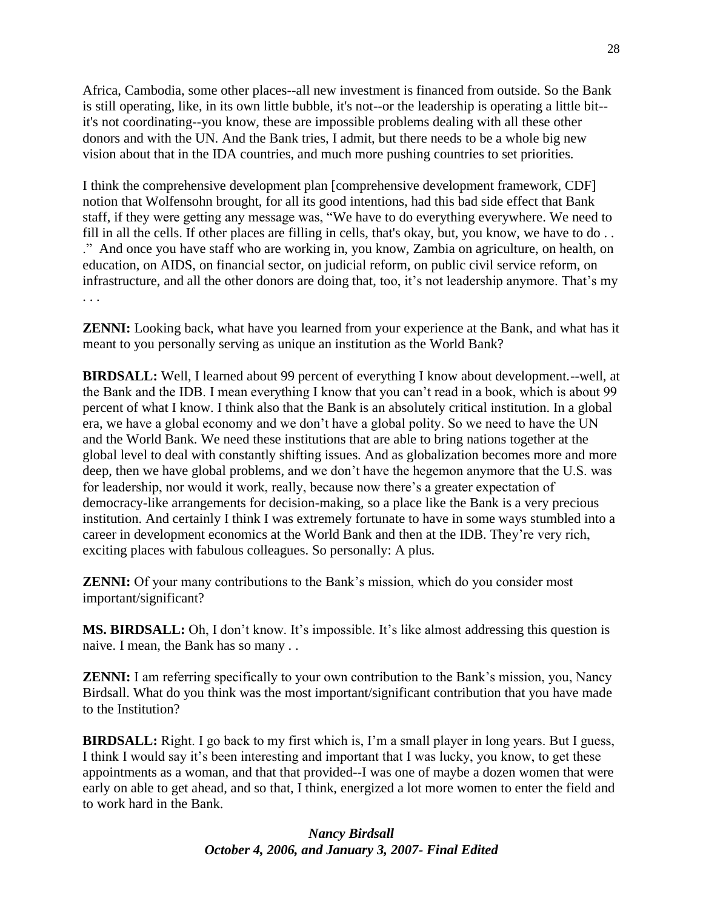Africa, Cambodia, some other places--all new investment is financed from outside. So the Bank is still operating, like, in its own little bubble, it's not--or the leadership is operating a little bit- it's not coordinating--you know, these are impossible problems dealing with all these other donors and with the UN. And the Bank tries, I admit, but there needs to be a whole big new vision about that in the IDA countries, and much more pushing countries to set priorities.

I think the comprehensive development plan [comprehensive development framework, CDF] notion that Wolfensohn brought, for all its good intentions, had this bad side effect that Bank staff, if they were getting any message was, "We have to do everything everywhere. We need to fill in all the cells. If other places are filling in cells, that's okay, but, you know, we have to do . . .‖ And once you have staff who are working in, you know, Zambia on agriculture, on health, on education, on AIDS, on financial sector, on judicial reform, on public civil service reform, on infrastructure, and all the other donors are doing that, too, it's not leadership anymore. That's my . . .

**ZENNI:** Looking back, what have you learned from your experience at the Bank, and what has it meant to you personally serving as unique an institution as the World Bank?

**BIRDSALL:** Well, I learned about 99 percent of everything I know about development.--well, at the Bank and the IDB. I mean everything I know that you can't read in a book, which is about 99 percent of what I know. I think also that the Bank is an absolutely critical institution. In a global era, we have a global economy and we don't have a global polity. So we need to have the UN and the World Bank. We need these institutions that are able to bring nations together at the global level to deal with constantly shifting issues. And as globalization becomes more and more deep, then we have global problems, and we don't have the hegemon anymore that the U.S. was for leadership, nor would it work, really, because now there's a greater expectation of democracy-like arrangements for decision-making, so a place like the Bank is a very precious institution. And certainly I think I was extremely fortunate to have in some ways stumbled into a career in development economics at the World Bank and then at the IDB. They're very rich, exciting places with fabulous colleagues. So personally: A plus.

**ZENNI:** Of your many contributions to the Bank's mission, which do you consider most important/significant?

**MS. BIRDSALL:** Oh, I don't know. It's impossible. It's like almost addressing this question is naive. I mean, the Bank has so many . .

**ZENNI:** I am referring specifically to your own contribution to the Bank's mission, you, Nancy Birdsall. What do you think was the most important/significant contribution that you have made to the Institution?

**BIRDSALL:** Right. I go back to my first which is, I'm a small player in long years. But I guess, I think I would say it's been interesting and important that I was lucky, you know, to get these appointments as a woman, and that that provided--I was one of maybe a dozen women that were early on able to get ahead, and so that, I think, energized a lot more women to enter the field and to work hard in the Bank.